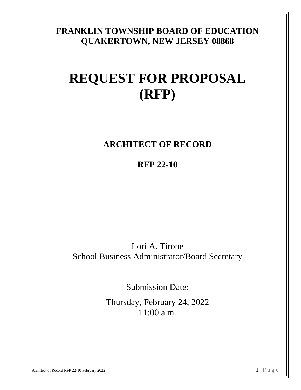## **FRANKLIN TOWNSHIP BOARD OF EDUCATION QUAKERTOWN, NEW JERSEY 08868**

# **REQUEST FOR PROPOSAL (RFP)**

## **ARCHITECT OF RECORD**

**RFP 22-10**

Lori A. Tirone School Business Administrator/Board Secretary

Submission Date:

Thursday, February 24, 2022 11:00 a.m.

Architect of Record RFP 22-10 February 2022  $1 \mid P \text{ a } g$  e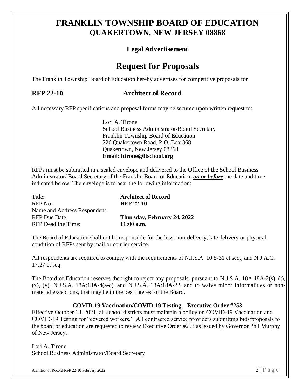## **FRANKLIN TOWNSHIP BOARD OF EDUCATION QUAKERTOWN, NEW JERSEY 08868**

## **Legal Advertisement**

## **Request for Proposals**

The Franklin Township Board of Education hereby advertises for competitive proposals for

## **RFP 22-10 Architect of Record**

All necessary RFP specifications and proposal forms may be secured upon written request to:

Lori A. Tirone School Business Administrator/Board Secretary Franklin Township Board of Education 226 Quakertown Road, P.O. Box 368 Quakertown, New Jersey 08868 **Email: ltirone@ftschool.org**

RFPs must be submitted in a sealed envelope and delivered to the Office of the School Business Administrator/ Board Secretary of the Franklin Board of Education, *on or before* the date and time indicated below. The envelope is to bear the following information:

| Title:<br>RFP No.                                   | <b>Architect of Record</b><br><b>RFP 22-10</b> |
|-----------------------------------------------------|------------------------------------------------|
| Name and Address Respondent<br><b>RFP</b> Due Date: | Thursday, February 24, 2022                    |
| <b>RFP</b> Deadline Time:                           | $11:00$ a.m.                                   |

The Board of Education shall not be responsible for the loss, non-delivery, late delivery or physical condition of RFPs sent by mail or courier service.

All respondents are required to comply with the requirements of N.J.S.A. 10:5-31 et seq., and N.J.A.C. 17:27 et seq.

The Board of Education reserves the right to reject any proposals, pursuant to N.J.S.A. 18A:18A-2(s), (t),  $(x)$ ,  $(y)$ , N.J.S.A. 18A:18A-4(a-c), and N.J.S.A. 18A:18A-22, and to waive minor informalities or nonmaterial exceptions, that may be in the best interest of the Board.

## **COVID-19 Vaccination/COVID-19 Testing—Executive Order #253**

Effective October 18, 2021, all school districts must maintain a policy on COVID-19 Vaccination and COVID-19 Testing for "covered workers." All contracted service providers submitting bids/proposals to the board of education are requested to review Executive Order #253 as issued by Governor Phil Murphy of New Jersey.

Lori A. Tirone School Business Administrator/Board Secretary

Architect of Record RFP 22-10 February 2022 2  $\left| \begin{array}{c} \text{P a g} \text{e} \end{array} \right.$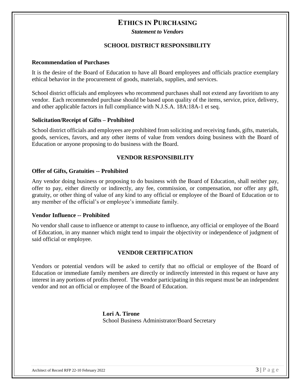## **ETHICS IN PURCHASING**

*Statement to Vendors*

## **SCHOOL DISTRICT RESPONSIBILITY**

#### **Recommendation of Purchases**

It is the desire of the Board of Education to have all Board employees and officials practice exemplary ethical behavior in the procurement of goods, materials, supplies, and services.

School district officials and employees who recommend purchases shall not extend any favoritism to any vendor. Each recommended purchase should be based upon quality of the items, service, price, delivery, and other applicable factors in full compliance with N.J.S.A. 18A:18A-1 et seq.

#### **Solicitation/Receipt of Gifts – Prohibited**

School district officials and employees are prohibited from soliciting and receiving funds, gifts, materials, goods, services, favors, and any other items of value from vendors doing business with the Board of Education or anyone proposing to do business with the Board.

## **VENDOR RESPONSIBILITY**

#### **Offer of Gifts, Gratuities -- Prohibited**

Any vendor doing business or proposing to do business with the Board of Education, shall neither pay, offer to pay, either directly or indirectly, any fee, commission, or compensation, nor offer any gift, gratuity, or other thing of value of any kind to any official or employee of the Board of Education or to any member of the official's or employee's immediate family.

#### **Vendor Influence -- Prohibited**

No vendor shall cause to influence or attempt to cause to influence, any official or employee of the Board of Education, in any manner which might tend to impair the objectivity or independence of judgment of said official or employee.

## **VENDOR CERTIFICATION**

Vendors or potential vendors will be asked to certify that no official or employee of the Board of Education or immediate family members are directly or indirectly interested in this request or have any interest in any portions of profits thereof. The vendor participating in this request must be an independent vendor and not an official or employee of the Board of Education.

> **Lori A. Tirone** School Business Administrator/Board Secretary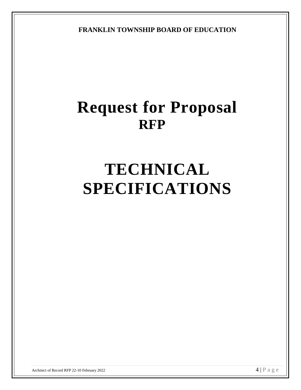**FRANKLIN TOWNSHIP BOARD OF EDUCATION**

# **Request for Proposal RFP**

# **TECHNICAL SPECIFICATIONS**

Architect of Record RFP 22-10 February 2022  $\mathcal{A} \mid P$  a g e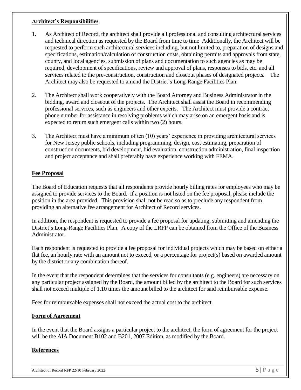## **Architect's Responsibilities**

- 1. As Architect of Record, the architect shall provide all professional and consulting architectural services and technical direction as requested by the Board from time to time Additionally, the Architect will be requested to perform such architectural services including, but not limited to, preparation of designs and specifications, estimation/calculation of construction costs, obtaining permits and approvals from state, county, and local agencies, submission of plans and documentation to such agencies as may be required, development of specifications, review and approval of plans, responses to bids, etc. and all services related to the pre-construction, construction and closeout phases of designated projects. The Architect may also be requested to amend the District's Long-Range Facilities Plan.
- 2. The Architect shall work cooperatively with the Board Attorney and Business Administrator in the bidding, award and closeout of the projects. The Architect shall assist the Board in recommending professional services, such as engineers and other experts. The Architect must provide a contract phone number for assistance in resolving problems which may arise on an emergent basis and is expected to return such emergent calls within two (2) hours.
- 3. The Architect must have a minimum of ten (10) years' experience in providing architectural services for New Jersey public schools, including programming, design, cost estimating, preparation of construction documents, bid development, bid evaluation, construction administration, final inspection and project acceptance and shall preferably have experience working with FEMA.

## **Fee Proposal**

The Board of Education requests that all respondents provide hourly billing rates for employees who may be assigned to provide services to the Board. If a position is not listed on the fee proposal, please include the position in the area provided. This provision shall not be read so as to preclude any respondent from providing an alternative fee arrangement for Architect of Record services.

In addition, the respondent is requested to provide a fee proposal for updating, submitting and amending the District's Long-Range Facilities Plan. A copy of the LRFP can be obtained from the Office of the Business Administrator.

Each respondent is requested to provide a fee proposal for individual projects which may be based on either a flat fee, an hourly rate with an amount not to exceed, or a percentage for project(s) based on awarded amount by the district or any combination thereof.

In the event that the respondent determines that the services for consultants (e.g. engineers) are necessary on any particular project assigned by the Board, the amount billed by the architect to the Board for such services shall not exceed multiple of 1.10 times the amount billed to the architect for said reimbursable expense.

Fees for reimbursable expenses shall not exceed the actual cost to the architect.

## **Form of Agreement**

In the event that the Board assigns a particular project to the architect, the form of agreement for the project will be the AIA Document B102 and B201, 2007 Edition, as modified by the Board.

## **References**

Architect of Record RFP 22-10 February 2022  $5 \mid P$  a g e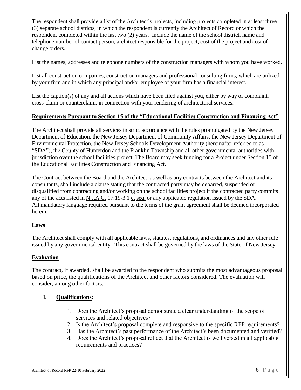The respondent shall provide a list of the Architect's projects, including projects completed in at least three (3) separate school districts, in which the respondent is currently the Architect of Record or which the respondent completed within the last two (2) years. Include the name of the school district, name and telephone number of contact person, architect responsible for the project, cost of the project and cost of change orders.

List the names, addresses and telephone numbers of the construction managers with whom you have worked.

List all construction companies, construction managers and professional consulting firms, which are utilized by your firm and in which any principal and/or employee of your firm has a financial interest.

List the caption(s) of any and all actions which have been filed against you, either by way of complaint, cross-claim or counterclaim, in connection with your rendering of architectural services.

## **Requirements Pursuant to Section 15 of the "Educational Facilities Construction and Financing Act"**

The Architect shall provide all services in strict accordance with the rules promulgated by the New Jersey Department of Education, the New Jersey Department of Community Affairs, the New Jersey Department of Environmental Protection, the New Jersey Schools Development Authority (hereinafter referred to as "SDA"), the County of Hunterdon and the Franklin Township and all other governmental authorities with jurisdiction over the school facilities project. The Board may seek funding for a Project under Section 15 of the Educational Facilities Construction and Financing Act.

The Contract between the Board and the Architect, as well as any contracts between the Architect and its consultants, shall include a clause stating that the contracted party may be debarred, suspended or disqualified from contracting and/or working on the school facilities project if the contracted party commits any of the acts listed in N.J.A.C. 17:19-3.1 et seq. or any applicable regulation issued by the SDA. All mandatory language required pursuant to the terms of the grant agreement shall be deemed incorporated herein.

## **Laws**

The Architect shall comply with all applicable laws, statutes, regulations, and ordinances and any other rule issued by any governmental entity. This contract shall be governed by the laws of the State of New Jersey.

## **Evaluation**

The contract, if awarded, shall be awarded to the respondent who submits the most advantageous proposal based on price, the qualifications of the Architect and other factors considered. The evaluation will consider, among other factors:

## **I. Qualifications:**

- 1. Does the Architect's proposal demonstrate a clear understanding of the scope of services and related objectives?
- 2. Is the Architect's proposal complete and responsive to the specific RFP requirements?
- 3. Has the Architect's past performance of the Architect's been documented and verified?
- 4. Does the Architect's proposal reflect that the Architect is well versed in all applicable requirements and practices?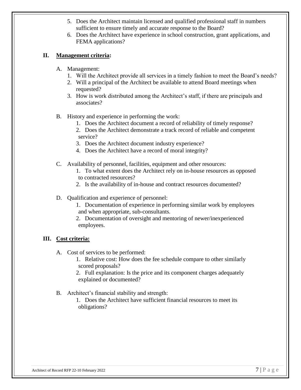- 5. Does the Architect maintain licensed and qualified professional staff in numbers sufficient to ensure timely and accurate response to the Board?
- 6. Does the Architect have experience in school construction, grant applications, and FEMA applications?

## **II. Management criteria:**

- A. Management:
	- 1. Will the Architect provide all services in a timely fashion to meet the Board's needs?
	- 2. Will a principal of the Architect be available to attend Board meetings when requested?
	- 3. How is work distributed among the Architect's staff, if there are principals and associates?
- B. History and experience in performing the work:
	- 1. Does the Architect document a record of reliability of timely response?
	- 2. Does the Architect demonstrate a track record of reliable and competent service?
	- 3. Does the Architect document industry experience?
	- 4. Does the Architect have a record of moral integrity?
- C. Availability of personnel, facilities, equipment and other resources:
	- 1. To what extent does the Architect rely on in-house resources as opposed to contracted resources?
	- 2. Is the availability of in-house and contract resources documented?
- D. Qualification and experience of personnel:
	- 1. Documentation of experience in performing similar work by employees and when appropriate, sub-consultants.
	- 2. Documentation of oversight and mentoring of newer/inexperienced employees.

## **III. Cost criteria:**

- A. Cost of services to be performed:
	- 1. Relative cost: How does the fee schedule compare to other similarly scored proposals?
	- 2. Full explanation: Is the price and its component charges adequately explained or documented?
- B. Architect's financial stability and strength:
	- 1. Does the Architect have sufficient financial resources to meet its obligations?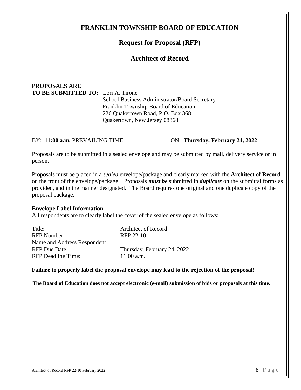## **FRANKLIN TOWNSHIP BOARD OF EDUCATION**

## **Request for Proposal (RFP)**

## **Architect of Record**

## **PROPOSALS ARE TO BE SUBMITTED TO:** Lori A. Tirone

School Business Administrator/Board Secretary Franklin Township Board of Education 226 Quakertown Road, P.O. Box 368 Quakertown, New Jersey 08868

#### BY: **11:00 a.m.** PREVAILING TIME ON: **Thursday, February 24, 2022**

Proposals are to be submitted in a sealed envelope and may be submitted by mail, delivery service or in person.

Proposals must be placed in a *sealed* envelope/package and clearly marked with the **Architect of Record** on the front of the envelope/package. Proposals *must be* submitted in *duplicate* on the submittal forms as provided, and in the manner designated. The Board requires one original and one duplicate copy of the proposal package.

## **Envelope Label Information**

All respondents are to clearly label the cover of the sealed envelope as follows:

| Title:                      | <b>Architect of Record</b>  |
|-----------------------------|-----------------------------|
| <b>RFP</b> Number           | RFP 22-10                   |
| Name and Address Respondent |                             |
| <b>RFP</b> Due Date:        | Thursday, February 24, 2022 |
| <b>RFP</b> Deadline Time:   | $11:00$ a.m.                |
|                             |                             |

## **Failure to properly label the proposal envelope may lead to the rejection of the proposal!**

 **The Board of Education does not accept electronic (e-mail) submission of bids or proposals at this time.**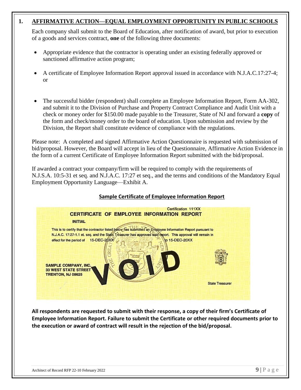## **1. AFFIRMATIVE ACTION—EQUAL EMPLOYMENT OPPORTUNITY IN PUBLIC SCHOOLS**

Each company shall submit to the Board of Education, after notification of award, but prior to execution of a goods and services contract, **one** of the following three documents:

- Appropriate evidence that the contractor is operating under an existing federally approved or sanctioned affirmative action program;
- A certificate of Employee Information Report approval issued in accordance with N.J.A.C.17:27-4; or
- The successful bidder (respondent) shall complete an Employee Information Report, Form AA-302, and submit it to the Division of Purchase and Property Contract Compliance and Audit Unit with a check or money order for \$150.00 made payable to the Treasurer, State of NJ and forward a **copy** of the form and check/money order to the board of education. Upon submission and review by the Division, the Report shall constitute evidence of compliance with the regulations.

Please note: A completed and signed Affirmative Action Questionnaire is requested with submission of bid/proposal. However, the Board will accept in lieu of the Questionnaire, Affirmative Action Evidence in the form of a current Certificate of Employee Information Report submitted with the bid/proposal.

If awarded a contract your company/firm will be required to comply with the requirements of N.J.S.A. 10:5-31 et seq. and N.J.A.C. 17:27 et seq., and the terms and conditions of the Mandatory Equal Employment Opportunity Language—Exhibit A.

## **Sample Certificate of Employee Information Report**



**All respondents are requested to submit with their response, a copy of their firm's Certificate of Employee Information Report. Failure to submit the Certificate or other required documents prior to the execution or award of contract will result in the rejection of the bid/proposal.**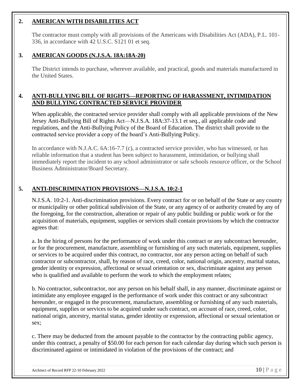## **2. AMERICAN WITH DISABILITIES ACT**

The contractor must comply with all provisions of the Americans with Disabilities Act (ADA), P.L. 101- 336, in accordance with 42 U.S.C. S121 01 et seq.

## **3. AMERICAN GOODS (N.J.S.A. 18A:18A-20)**

The District intends to purchase, wherever available, and practical, goods and materials manufactured in the United States.

## **4. ANTI-BULLYING BILL OF RIGHTS—REPORTING OF HARASSMENT, INTIMIDATION AND BULLYING CONTRACTED SERVICE PROVIDER**

When applicable, the contracted service provider shall comply with all applicable provisions of the New Jersey Anti-Bullying Bill of Rights Act—N.J.S.A. 18A:37-13.1 et seq., all applicable code and regulations, and the Anti-Bullying Policy of the Board of Education. The district shall provide to the contracted service provider a copy of the board's Anti-Bullying Policy.

In accordance with N.J.A.C. 6A:16-7.7 (c), a contracted service provider, who has witnessed, or has reliable information that a student has been subject to harassment, intimidation, or bullying shall immediately report the incident to any school administrator or safe schools resource officer, or the School Business Administrator/Board Secretary.

## **5. ANTI-DISCRIMINATION PROVISIONS—N.J.S.A. 10:2-1**

N.J.S.A. 10:2-1. Anti-discrimination provisions. Every contract for or on behalf of the State or any county or municipality or other political subdivision of the State, or any agency of or authority created by any of the foregoing, for the construction, alteration or repair of any public building or public work or for the acquisition of materials, equipment, supplies or services shall contain provisions by which the contractor agrees that:

a. In the hiring of persons for the performance of work under this contract or any subcontract hereunder, or for the procurement, manufacture, assembling or furnishing of any such materials, equipment, supplies or services to be acquired under this contract, no contractor, nor any person acting on behalf of such contractor or subcontractor, shall, by reason of race, creed, color, national origin, ancestry, marital status, gender identity or expression, affectional or sexual orientation or sex, discriminate against any person who is qualified and available to perform the work to which the employment relates;

b. No contractor, subcontractor, nor any person on his behalf shall, in any manner, discriminate against or intimidate any employee engaged in the performance of work under this contract or any subcontract hereunder, or engaged in the procurement, manufacture, assembling or furnishing of any such materials, equipment, supplies or services to be acquired under such contract, on account of race, creed, color, national origin, ancestry, marital status, gender identity or expression, affectional or sexual orientation or sex;

c. There may be deducted from the amount payable to the contractor by the contracting public agency, under this contract, a penalty of \$50.00 for each person for each calendar day during which such person is discriminated against or intimidated in violation of the provisions of the contract; and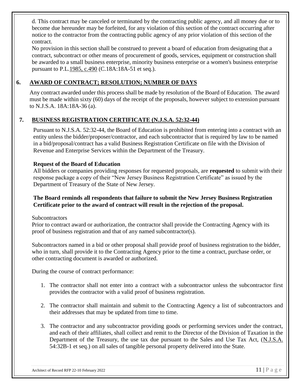d. This contract may be canceled or terminated by the contracting public agency, and all money due or to become due hereunder may be forfeited, for any violation of this section of the contract occurring after notice to the contractor from the contracting public agency of any prior violation of this section of the contract.

No provision in this section shall be construed to prevent a board of education from designating that a contract, subcontract or other means of procurement of goods, services, equipment or construction shall be awarded to a small business enterprise, minority business enterprise or a women's business enterprise pursuant to P.L[.1985, c.490](http://njlaw.rutgers.edu/cgi-bin/njstats/getnjstat3.cgi?yr=1985&chap=490) (C.18A:18A-51 et seq.).

## **6. AWARD OF CONTRACT; RESOLUTION; NUMBER OF DAYS**

Any contract awarded under this process shall be made by resolution of the Board of Education. The award must be made within sixty (60) days of the receipt of the proposals, however subject to extension pursuant to N.J.S.A. 18A:18A-36 (a).

## **7. BUSINESS REGISTRATION CERTIFICATE (N.J.S.A. 52:32-44)**

Pursuant to N.J.S.A. 52:32-44, the Board of Education is prohibited from entering into a contract with an entity unless the bidder/proposer/contractor, and each subcontractor that is required by law to be named in a bid/proposal/contract has a valid Business Registration Certificate on file with the Division of Revenue and Enterprise Services within the Department of the Treasury.

## **Request of the Board of Education**

All bidders or companies providing responses for requested proposals, are **requested** to submit with their response package a copy of their "New Jersey Business Registration Certificate" as issued by the Department of Treasury of the State of New Jersey.

## **The Board reminds all respondents that failure to submit the New Jersey Business Registration Certificate prior to the award of contract will result in the rejection of the proposal.**

**Subcontractors** 

Prior to contract award or authorization, the contractor shall provide the Contracting Agency with its proof of business registration and that of any named subcontractor(s).

Subcontractors named in a bid or other proposal shall provide proof of business registration to the bidder, who in turn, shall provide it to the Contracting Agency prior to the time a contract, purchase order, or other contracting document is awarded or authorized.

During the course of contract performance:

- 1. The contractor shall not enter into a contract with a subcontractor unless the subcontractor first provides the contractor with a valid proof of business registration.
- 2. The contractor shall maintain and submit to the Contracting Agency a list of subcontractors and their addresses that may be updated from time to time.
- 3. The contractor and any subcontractor providing goods or performing services under the contract, and each of their affiliates, shall collect and remit to the Director of the Division of Taxation in the Department of the Treasury, the use tax due pursuant to the Sales and Use Tax Act, (N.J.S.A. 54:32B-1 et seq.) on all sales of tangible personal property delivered into the State.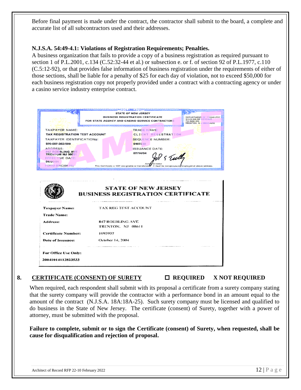Before final payment is made under the contract, the contractor shall submit to the board, a complete and accurate list of all subcontractors used and their addresses.

## **N.J.S.A. 54:49-4.1: Violations of Registration Requirements; Penalties.**

A business organization that fails to provide a copy of a business registration as required pursuant to section 1 of P.L[.2001, c.134](http://njlaw.rutgers.edu/cgi-bin/njstats/getnjstat.cgi?yr=2001&chap=134) (C.52:32-44 et al.) or subsection e. or f. of section 92 of P.L[.1977, c.110](http://njlaw.rutgers.edu/cgi-bin/njstats/getnjstat.cgi?yr=1977&chap=110) (C.5:12-92), or that provides false information of business registration under the requirements of either of those sections, shall be liable for a penalty of \$25 for each day of violation, not to exceed \$50,000 for each business registration copy not properly provided under a contract with a contracting agency or under a casino service industry enterprise contract.

| 0.000.000.000.000.000.000.000               | STATE OF NEW JERSEY<br><b>BUSINESS REGISTRATION CERTIFICATE</b>                                                                       | DEPARTMENT OF TREASURY/                                        |
|---------------------------------------------|---------------------------------------------------------------------------------------------------------------------------------------|----------------------------------------------------------------|
|                                             | FOR STATE AGENCY AND CASINO SERVICE CONTRACTORS                                                                                       | DIVISION OF REVEIRCE<br>PO BOX 252<br>TRENTON, N.J. 00016-0252 |
| <b>TAXPAYER NAME:</b>                       | <u> 1979 - An Dùbhlachd an Dùbhlachd ann an Dùbhlachd ann an Dùbhlachd ann an Dùbhlachd ann an Dùbhlachd ann an Dù</u><br>TRADE NAME: |                                                                |
| <b>TAX REGISTRATION TEST ACCOUNT</b>        | <b>CLIENT REGISTRATION</b>                                                                                                            |                                                                |
| TAXPAYER IDENTIFICATION#:                   | <b>SEQUENCE NUMBER:</b>                                                                                                               |                                                                |
| 970-097-382/500                             | 0107330                                                                                                                               |                                                                |
| ADDRESS:                                    | <b>ISSUANCE DATE:</b>                                                                                                                 |                                                                |
| 847 ROEBLING AVE<br><b>TRENTON NJ 06611</b> | 07/14/04                                                                                                                              |                                                                |
| EFFECTIVE DATE:<br>01/01/01                 |                                                                                                                                       | S Tull                                                         |
| FORM-BRC(08-01)                             | This Certificate is NOT assignable or transferable                                                                                    | It must be conspicuously displayed at above address            |
|                                             |                                                                                                                                       |                                                                |
|                                             | <b>STATE OF NEW JERSEY</b>                                                                                                            |                                                                |
|                                             | <b>BUSINESS REGISTRATION CERTIFICATE</b>                                                                                              |                                                                |
|                                             |                                                                                                                                       |                                                                |
| <b>Taxpayer Name:</b>                       | <b>TAX REG TEST ACCOUNT</b>                                                                                                           |                                                                |
| <b>Trade Name:</b>                          |                                                                                                                                       |                                                                |
| Address:                                    | 847 ROEBLING AVE                                                                                                                      |                                                                |
|                                             | TRENTON, NJ 08611                                                                                                                     |                                                                |
| <b>Certificate Number:</b>                  | 1093907                                                                                                                               |                                                                |
| Date of Issuance:                           | October 14, 2004                                                                                                                      |                                                                |
|                                             |                                                                                                                                       |                                                                |
| For Office Use Only:                        |                                                                                                                                       |                                                                |

## 8. **CERTIFICATE (CONSENT) OF SURETY**  $\Box$  **REQUIRED** X NOT REQUIRED

When required, each respondent shall submit with its proposal a certificate from a surety company stating that the surety company will provide the contractor with a performance bond in an amount equal to the amount of the contract (N.J.S.A. 18A:18A-25). Such surety company must be licensed and qualified to do business in the State of New Jersey. The certificate (consent) of Surety, together with a power of attorney, must be submitted with the proposal.

**Failure to complete, submit or to sign the Certificate (consent) of Surety, when requested, shall be cause for disqualification and rejection of proposal.**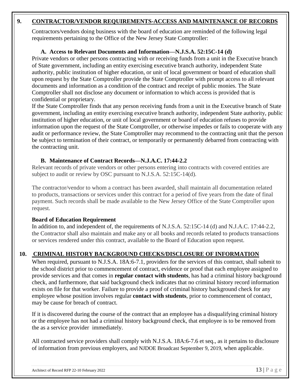## **9. CONTRACTOR/VENDOR REQUIREMENTS-ACCESS AND MAINTENANCE OF RECORDS**

Contractors/vendors doing business with the board of education are reminded of the following legal requirements pertaining to the Office of the New Jersey State Comptroller:

## **A. Access to Relevant Documents and Information—N.J.S.A. 52:15C-14 (d)**

Private vendors or other persons contracting with or receiving funds from a unit in the Executive branch of State government, including an entity exercising executive branch authority, independent State authority, public institution of higher education, or unit of local government or board of education shall upon request by the State Comptroller provide the State Comptroller with prompt access to all relevant documents and information as a condition of the contract and receipt of public monies. The State Comptroller shall not disclose any document or information to which access is provided that is confidential or proprietary.

If the State Comptroller finds that any person receiving funds from a unit in the Executive branch of State government, including an entity exercising executive branch authority, independent State authority, public institution of higher education, or unit of local government or board of education refuses to provide information upon the request of the State Comptroller, or otherwise impedes or fails to cooperate with any audit or performance review, the State Comptroller may recommend to the contracting unit that the person be subject to termination of their contract, or temporarily or permanently debarred from contracting with the contracting unit.

## **B. Maintenance of Contract Records—N.J.A.C. 17:44-2.2**

Relevant records of private vendors or other persons entering into contracts with covered entities are subject to audit or review by OSC pursuant to N.J.S.A. 52:15C-14(d).

The contractor/vendor to whom a contract has been awarded, shall maintain all documentation related to products, transactions or services under this contract for a period of five years from the date of final payment. Such records shall be made available to the New Jersey Office of the State Comptroller upon request.

## **Board of Education Requirement**

In addition to, and independent of, the requirements of N.J.S.A. 52:15C-14 (d) and N.J.A.C. 17:44-2.2, the Contractor shall also maintain and make any or all books and records related to products transactions or services rendered under this contract, available to the Board of Education upon request.

## **10. CRIMINAL HISTORY BACKGROUND CHECKS/DISCLOSURE OF INFORMATION**

When required, pursuant to N.J.S.A. 18A:6-7.1, providers for the services of this contract, shall submit to the school district prior to commencement of contract, evidence or proof that each employee assigned to provide services and that comes in **regular contact with students**, has had a criminal history background check, and furthermore, that said background check indicates that no criminal history record information exists on file for that worker. Failure to provide a proof of criminal history background check for any employee whose position involves regular **contact with students**, prior to commencement of contact, may be cause for breach of contract.

If it is discovered during the course of the contract that an employee has a disqualifying criminal history or the employee has not had a criminal history background check, that employee is to be removed from the as a service provider immediately.

All contracted service providers shall comply with N.J.S.A. 18A:6-7.6 et seq., as it pertains to disclosure of information from previous employers, and NJDOE Broadcast September 9, 2019, when applicable.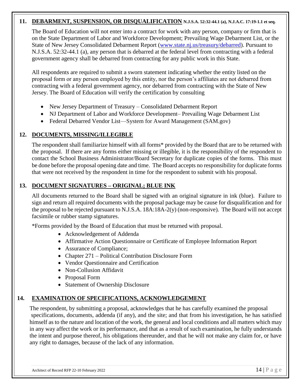## **11. DEBARMENT, SUSPENSION, OR DISQUALIFICATION N.J.S.A. 52:32-44.1 (a), N.J.A.C. 17:19-1.1 et seq.**

The Board of Education will not enter into a contract for work with any person, company or firm that is on the State Department of Labor and Workforce Development; Prevailing Wage Debarment List, or the State of New Jersey Consolidated Debarment Report [\(www.state.nj.us/treasury/debarred\)](http://www.state.nj.us/treasury/debarred). Pursuant to N.J.S.A. 52:32-44.1 (a), any person that is debarred at the federal level from contracting with a federal government agency shall be debarred from contracting for any public work in this State.

All respondents are required to submit a sworn statement indicating whether the entity listed on the proposal form or any person employed by this entity, nor the person's affiliates are not debarred from contracting with a federal government agency, nor debarred from contracting with the State of New Jersey. The Board of Education will verify the certification by consulting

- New Jersey Department of Treasury Consolidated Debarment Report
- NJ Department of Labor and Workforce Development– Prevailing Wage Debarment List
- Federal Debarred Vendor List—System for Award Management (SAM.gov)

## **12. DOCUMENTS, MISSING/ILLEGIBLE**

The respondent shall familiarize himself with all forms\* provided by the Board that are to be returned with the proposal. If there are any forms either missing or illegible, it is the responsibility of the respondent to contact the School Business Administrator/Board Secretary for duplicate copies of the forms. This must be done before the proposal opening date and time. The Board accepts no responsibility for duplicate forms that were not received by the respondent in time for the respondent to submit with his proposal.

## **13. DOCUMENT SIGNATURES – ORIGINAL; BLUE INK**

All documents returned to the Board shall be signed with an original signature in ink (blue). Failure to sign and return all required documents with the proposal package may be cause for disqualification and for the proposal to be rejected pursuant to N.J.S.A. 18A:18A-2(y) (non-responsive). The Board will not accept facsimile or rubber stamp signatures.

\*Forms provided by the Board of Education that must be returned with proposal.

- Acknowledgement of Addenda
- Affirmative Action Questionnaire or Certificate of Employee Information Report
- Assurance of Compliance;
- Chapter 271 Political Contribution Disclosure Form
- Vendor Questionnaire and Certification
- Non-Collusion Affidavit
- Proposal Form
- Statement of Ownership Disclosure

## **14. EXAMINATION OF SPECIFICATIONS, ACKNOWLEDGEMENT**

The respondent, by submitting a proposal, acknowledges that he has carefully examined the proposal specifications, documents, addenda (if any), and the site; and that from his investigation, he has satisfied himself as to the nature and location of the work, the general and local conditions and all matters which may in any way affect the work or its performance, and that as a result of such examination, he fully understands the intent and purpose thereof, his obligations thereunder, and that he will not make any claim for, or have any right to damages, because of the lack of any information.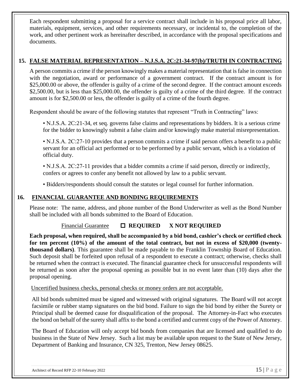Each respondent submitting a proposal for a service contract shall include in his proposal price all labor, materials, equipment, services, and other requirements necessary, or incidental to, the completion of the work, and other pertinent work as hereinafter described, in accordance with the proposal specifications and documents.

## **15. FALSE MATERIAL REPRESENTATION – N.J.S.A. 2C:21-34-97(b)/TRUTH IN CONTRACTING**

A person commits a crime if the person knowingly makes a material representation that is false in connection with the negotiation, award or performance of a government contract. If the contract amount is for \$25,000.00 or above, the offender is guilty of a crime of the second degree. If the contract amount exceeds \$2,500.00, but is less than \$25,000.00, the offender is guilty of a crime of the third degree. If the contract amount is for \$2,500.00 or less, the offender is guilty of a crime of the fourth degree.

Respondent should be aware of the following statutes that represent "Truth in Contracting" laws:

• N.J.S.A. 2C:21-34, et seq. governs false claims and representations by bidders. It is a serious crime for the bidder to knowingly submit a false claim and/or knowingly make material misrepresentation.

• N.J.S.A. 2C:27-10 provides that a person commits a crime if said person offers a benefit to a public servant for an official act performed or to be performed by a public servant, which is a violation of official duty.

• N.J.S.A. 2C:27-11 provides that a bidder commits a crime if said person, directly or indirectly, confers or agrees to confer any benefit not allowed by law to a public servant.

• Bidders/respondents should consult the statutes or legal counsel for further information.

## **16. FINANCIAL GUARANTEE AND BONDING REQUIREMENTS**

Please note: The name, address, and phone number of the Bond Underwriter as well as the Bond Number shall be included with all bonds submitted to the Board of Education.

## Financial Guarantee  **REQUIRED X NOT REQUIRED**

**Each proposal, when required, shall be accompanied by a bid bond, cashier's check or certified check**  for ten percent (10%) of the amount of the total contract, but not in excess of \$20,000 (twenty**thousand dollars)**. This guarantee shall be made payable to the Franklin Township Board of Education. Such deposit shall be forfeited upon refusal of a respondent to execute a contract; otherwise, checks shall be returned when the contract is executed. The financial guarantee check for unsuccessful respondents will be returned as soon after the proposal opening as possible but in no event later than (10) days after the proposal opening.  $\overline{a}$ 

## Uncertified business checks, personal checks or money orders are not acceptable.

All bid bonds submitted must be signed and witnessed with original signatures. The Board will not accept facsimile or rubber stamp signatures on the bid bond. Failure to sign the bid bond by either the Surety or Principal shall be deemed cause for disqualification of the proposal. The Attorney-in-Fact who executes the bond on behalf of the surety shall affix to the bond a certified and current copy of the Power of Attorney.

The Board of Education will only accept bid bonds from companies that are licensed and qualified to do business in the State of New Jersey. Such a list may be available upon request to the State of New Jersey, Department of Banking and Insurance, CN 325, Trenton, New Jersey 08625.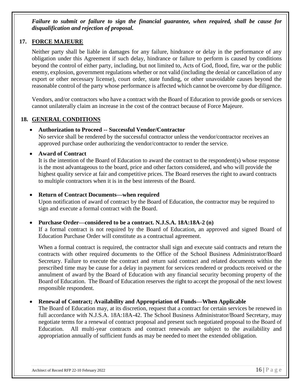*Failure to submit or failure to sign the financial guarantee, when required, shall be cause for disqualification and rejection of proposal.*

## **17. FORCE MAJEURE**

Neither party shall be liable in damages for any failure, hindrance or delay in the performance of any obligation under this Agreement if such delay, hindrance or failure to perform is caused by conditions beyond the control of either party, including, but not limited to, Acts of God, flood, fire, war or the public enemy, explosion, government regulations whether or not valid (including the denial or cancellation of any export or other necessary license), court order, state funding, or other unavoidable causes beyond the reasonable control of the party whose performance is affected which cannot be overcome by due diligence.

Vendors, and/or contractors who have a contract with the Board of Education to provide goods or services cannot unilaterally claim an increase in the cost of the contract because of Force Majeure.

## **18. GENERAL CONDITIONS**

## • **Authorization to Proceed -- Successful Vendor/Contractor**

No service shall be rendered by the successful contractor unless the vendor/contractor receives an approved purchase order authorizing the vendor/contractor to render the service.

## • **Award of Contract**

It is the intention of the Board of Education to award the contract to the respondent(s) whose response is the most advantageous to the board, price and other factors considered, and who will provide the highest quality service at fair and competitive prices. The Board reserves the right to award contracts to multiple contractors when it is in the best interests of the Board.

#### • **Return of Contract Documents—when required**

Upon notification of award of contract by the Board of Education, the contractor may be required to sign and execute a formal contract with the Board.

## • **Purchase Order—considered to be a contract. N.J.S.A. 18A:18A-2 (n)**

If a formal contract is not required by the Board of Education, an approved and signed Board of Education Purchase Order will constitute as a contractual agreement.

When a formal contract is required, the contractor shall sign and execute said contracts and return the contracts with other required documents to the Office of the School Business Administrator/Board Secretary. Failure to execute the contract and return said contract and related documents within the prescribed time may be cause for a delay in payment for services rendered or products received or the annulment of award by the Board of Education with any financial security becoming property of the Board of Education. The Board of Education reserves the right to accept the proposal of the next lowest responsible respondent.

## • **Renewal of Contract; Availability and Appropriation of Funds—When Applicable**

The Board of Education may, at its discretion, request that a contract for certain services be renewed in full accordance with N.J.S.A. 18A:18A-42. The School Business Administrator/Board Secretary, may negotiate terms for a renewal of contract proposal and present such negotiated proposal to the Board of Education. All multi-year contracts and contract renewals are subject to the availability and appropriation annually of sufficient funds as may be needed to meet the extended obligation.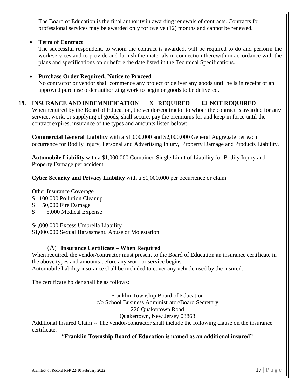The Board of Education is the final authority in awarding renewals of contracts. Contracts for professional services may be awarded only for twelve (12) months and cannot be renewed.

## • **Term of Contract**

The successful respondent, to whom the contract is awarded, will be required to do and perform the work/services and to provide and furnish the materials in connection therewith in accordance with the plans and specifications on or before the date listed in the Technical Specifications.

## • **Purchase Order Required; Notice to Proceed**

No contractor or vendor shall commence any project or deliver any goods until he is in receipt of an approved purchase order authorizing work to begin or goods to be delivered.

## 19. **INSURANCE AND INDEMNIFICATION X REQUIRED**  $\Box$  NOT REQUIRED

When required by the Board of Education, the vendor/contractor to whom the contract is awarded for any service, work, or supplying of goods, shall secure, pay the premiums for and keep in force until the contract expires, insurance of the types and amounts listed below:

**Commercial General Liability** with a \$1,000,000 and \$2,000,000 General Aggregate per each occurrence for Bodily Injury, Personal and Advertising Injury, Property Damage and Products Liability.

**Automobile Liability** with a \$1,000,000 Combined Single Limit of Liability for Bodily Injury and Property Damage per accident.

**Cyber Security and Privacy Liability** with a \$1,000,000 per occurrence or claim.

Other Insurance Coverage

- \$ 100,000 Pollution Cleanup
- \$ 50,000 Fire Damage
- \$ 5,000 Medical Expense

\$4,000,000 Excess Umbrella Liability

\$1,000,000 Sexual Harassment, Abuse or Molestation

## (A) **Insurance Certificate – When Required**

When required, the vendor/contractor must present to the Board of Education an insurance certificate in the above types and amounts before any work or service begins. Automobile liability insurance shall be included to cover any vehicle used by the insured.

The certificate holder shall be as follows:

Franklin Township Board of Education c/o School Business Administrator/Board Secretary 226 Quakertown Road Quakertown, New Jersey 08868

Additional Insured Claim -- The vendor/contractor shall include the following clause on the insurance certificate.

## "**Franklin Township Board of Education is named as an additional insured"**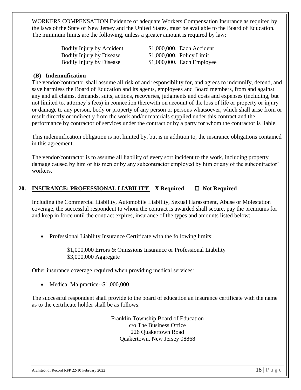WORKERS COMPENSATION Evidence of adequate Workers Compensation Insurance as required by the laws of the State of New Jersey and the United States, must be available to the Board of Education. The minimum limits are the following, unless a greater amount is required by law:

| Bodily Injury by Accident       | \$1,000,000. Each Accident   |
|---------------------------------|------------------------------|
| <b>Bodily Injury by Disease</b> | $$1,000,000$ . Policy Limit  |
| <b>Bodily Injury by Disease</b> | $$1,000,000$ . Each Employee |

## **(B)****Indemnification**

The vendor/contractor shall assume all risk of and responsibility for, and agrees to indemnify, defend, and save harmless the Board of Education and its agents, employees and Board members, from and against any and all claims, demands, suits, actions, recoveries, judgments and costs and expenses (including, but not limited to, attorney's fees) in connection therewith on account of the loss of life or property or injury or damage to any person, body or property of any person or persons whatsoever, which shall arise from or result directly or indirectly from the work and/or materials supplied under this contract and the performance by contractor of services under the contract or by a party for whom the contractor is liable.

This indemnification obligation is not limited by, but is in addition to, the insurance obligations contained in this agreement.

The vendor/contractor is to assume all liability of every sort incident to the work, including property damage caused by him or his men or by any subcontractor employed by him or any of the subcontractor' workers.

## **20. INSURANCE; PROFESSIONAL LIABILITY** X Required □ Not Required

Including the Commercial Liability, Automobile Liability, Sexual Harassment, Abuse or Molestation coverage, the successful respondent to whom the contract is awarded shall secure, pay the premiums for and keep in force until the contract expires, insurance of the types and amounts listed below:

• Professional Liability Insurance Certificate with the following limits:

\$1,000,000 Errors & Omissions Insurance or Professional Liability \$3,000,000 Aggregate

Other insurance coverage required when providing medical services:

• Medical Malpractice--\$1,000,000

The successful respondent shall provide to the board of education an insurance certificate with the name as to the certificate holder shall be as follows:

> Franklin Township Board of Education c/o The Business Office 226 Quakertown Road Quakertown, New Jersey 08868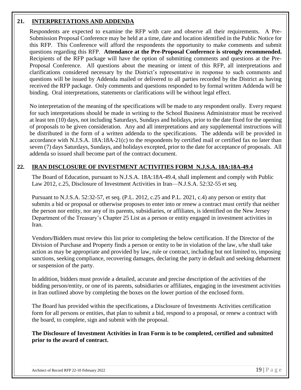## **21. INTERPRETATIONS AND ADDENDA**

Respondents are expected to examine the RFP with care and observe all their requirements. A Pre-Submission Proposal Conference may be held at a time, date and location identified in the Public Notice for this RFP. This Conference will afford the respondents the opportunity to make comments and submit questions regarding this RFP. **Attendance at the Pre-Proposal Conference is strongly recommended.** Recipients of the RFP package will have the option of submitting comments and questions at the Pre-Proposal Conference. All questions about the meaning or intent of this RFP, all interpretations and clarifications considered necessary by the District's representative in response to such comments and questions will be issued by Addenda mailed or delivered to all parties recorded by the District as having received the RFP package. Only comments and questions responded to by formal written Addenda will be binding. Oral interpretations, statements or clarifications will be without legal effect.

No interpretation of the meaning of the specifications will be made to any respondent orally. Every request for such interpretations should be made in writing to the School Business Administrator must be received at least ten (10) days, not including Saturdays, Sundays and holidays, prior to the date fixed for the opening of proposals to be given consideration. Any and all interpretations and any supplemental instructions will be distributed in the form of a written addenda to the specifications. The addenda will be provided in accordance with N.J.S.A. 18A:18A-21(c) to the respondents by certified mail or certified fax no later than seven (7) days Saturdays, Sundays, and holidays excepted, prior to the date for acceptance of proposals. All addenda so issued shall become part of the contract document.

## **22. IRAN DISCLOSURE OF INVESTMENT ACTIVITIES FORM N.J.S.A. 18A:18A-49.4**

The Board of Education, pursuant to N.J.S.A. 18A:18A-49.4, shall implement and comply with Public Law 2012, c.25, Disclosure of Investment Activities in Iran—N.J.S.A. 52:32-55 et seq.

Pursuant to N.J.S.A. 52:32-57, et seq. (P.L. 2012, c.25 and P.L. 2021, c.4) any person or entity that submits a bid or proposal or otherwise proposes to enter into or renew a contract must certify that neither the person nor entity, nor any of its parents, subsidiaries, or affiliates, is identified on the New Jersey Department of the Treasury's Chapter 25 List as a person or entity engaged in investment activities in Iran.

Vendors/Bidders must review this list prior to completing the below certification. If the Director of the Division of Purchase and Property finds a person or entity to be in violation of the law, s/he shall take action as may be appropriate and provided by law, rule or contract, including but not limited to, imposing sanctions, seeking compliance, recovering damages, declaring the party in default and seeking debarment or suspension of the party.

In addition, bidders must provide a detailed, accurate and precise description of the activities of the bidding person/entity, or one of its parents, subsidiaries or affiliates, engaging in the investment activities in Iran outlined above by completing the boxes on the lower portion of the enclosed form.

The Board has provided within the specifications, a Disclosure of Investments Activities certification form for all persons or entities, that plan to submit a bid, respond to a proposal, or renew a contract with the board, to complete, sign and submit with the proposal.

**The Disclosure of Investment Activities in Iran Form is to be completed, certified and submitted prior to the award of contract.**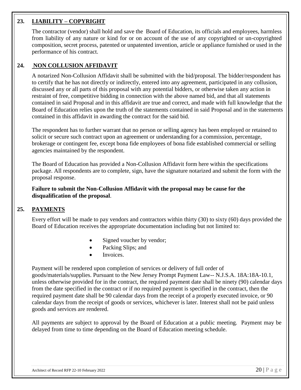## **23. LIABILITY – COPYRIGHT**

The contractor (vendor) shall hold and save the Board of Education, its officials and employees, harmless from liability of any nature or kind for or on account of the use of any copyrighted or un-copyrighted composition, secret process, patented or unpatented invention, article or appliance furnished or used in the performance of his contract.

## **24. NON COLLUSION AFFIDAVIT**

A notarized Non-Collusion Affidavit shall be submitted with the bid/proposal. The bidder/respondent has to certify that he has not directly or indirectly, entered into any agreement, participated in any collusion, discussed any or all parts of this proposal with any potential bidders, or otherwise taken any action in restraint of free, competitive bidding in connection with the above named bid, and that all statements contained in said Proposal and in this affidavit are true and correct, and made with full knowledge that the Board of Education relies upon the truth of the statements contained in said Proposal and in the statements contained in this affidavit in awarding the contract for the said bid.

The respondent has to further warrant that no person or selling agency has been employed or retained to solicit or secure such contract upon an agreement or understanding for a commission, percentage, brokerage or contingent fee, except bona fide employees of bona fide established commercial or selling agencies maintained by the respondent.

The Board of Education has provided a Non-Collusion Affidavit form here within the specifications package. All respondents are to complete, sign, have the signature notarized and submit the form with the proposal response.

**Failure to submit the Non-Collusion Affidavit with the proposal may be cause for the disqualification of the proposal**.

## **25. PAYMENTS**

Every effort will be made to pay vendors and contractors within thirty (30) to sixty (60) days provided the Board of Education receives the appropriate documentation including but not limited to:

- Signed voucher by vendor;
- Packing Slips; and
- Invoices.

Payment will be rendered upon completion of services or delivery of full order of goods/materials/supplies. Pursuant to the New Jersey Prompt Payment Law-- N.J.S.A. 18A:18A-10.1, unless otherwise provided for in the contract, the required payment date shall be ninety (90) calendar days from the date specified in the contract or if no required payment is specified in the contract, then the required payment date shall be 90 calendar days from the receipt of a properly executed invoice, or 90 calendar days from the receipt of goods or services, whichever is later. Interest shall not be paid unless goods and services are rendered.

All payments are subject to approval by the Board of Education at a public meeting. Payment may be delayed from time to time depending on the Board of Education meeting schedule.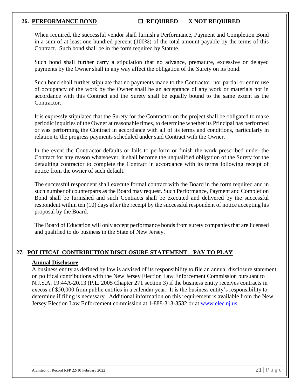## 26. **PERFORMANCE BOND CONOUNTED REQUIRED X NOT REQUIRED**

When required, the successful vendor shall furnish a Performance, Payment and Completion Bond in a sum of at least one hundred percent (100%) of the total amount payable by the terms of this Contract. Such bond shall be in the form required by Statute.

Such bond shall further carry a stipulation that no advance, premature, excessive or delayed payments by the Owner shall in any way affect the obligation of the Surety on its bond.

Such bond shall further stipulate that no payments made to the Contractor, nor partial or entire use of occupancy of the work by the Owner shall be an acceptance of any work or materials not in accordance with this Contract and the Surety shall be equally bound to the same extent as the Contractor.

It is expressly stipulated that the Surety for the Contractor on the project shall be obligated to make periodic inquiries of the Owner at reasonable times, to determine whether its Principal has performed or was performing the Contract in accordance with all of its terms and conditions, particularly in relation to the progress payments scheduled under said Contract with the Owner.

In the event the Contractor defaults or fails to perform or finish the work prescribed under the Contract for any reason whatsoever, it shall become the unqualified obligation of the Surety for the defaulting contractor to complete the Contract in accordance with its terms following receipt of notice from the owner of such default.

The successful respondent shall execute formal contract with the Board in the form required and in such number of counterparts as the Board may request. Such Performance, Payment and Completion Bond shall be furnished and such Contracts shall be executed and delivered by the successful respondent within ten (10) days after the receipt by the successful respondent of notice accepting his proposal by the Board.

The Board of Education will only accept performance bonds from surety companies that are licensed and qualified to do business in the State of New Jersey.

## **27. POLITICAL CONTRIBUTION DISCLOSURE STATEMENT – PAY TO PLAY**

## **Annual Disclosure**

A business entity as defined by law is advised of its responsibility to file an annual disclosure statement on political contributions with the New Jersey Election Law Enforcement Commission pursuant to N.J.S.A. 19:44A-20.13 (P.L. 2005 Chapter 271 section 3) if the business entity receives contracts in excess of \$50,000 from public entities in a calendar year. It is the business entity's responsibility to determine if filing is necessary. Additional information on this requirement is available from the New Jersey Election Law Enforcement commission at 1-888-313-3532 or at [www.elec.nj.us.](http://www.elec.nj.us/)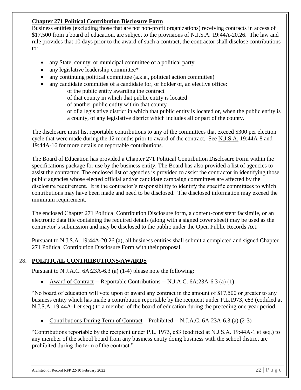## **Chapter 271 Political Contribution Disclosure Form**

Business entities (excluding those that are not non-profit organizations) receiving contracts in access of \$17,500 from a board of education, are subject to the provisions of N.J.S.A. 19:44A-20.26. The law and rule provides that 10 days prior to the award of such a contract, the contractor shall disclose contributions to:

- any State, county, or municipal committee of a political party
- any legislative leadership committee\*
- any continuing political committee (a.k.a., political action committee)
- any candidate committee of a candidate for, or holder of, an elective office:

of the public entity awarding the contract

of that county in which that public entity is located

of another public entity within that county

or of a legislative district in which that public entity is located or, when the public entity is a county, of any legislative district which includes all or part of the county.

The disclosure must list reportable contributions to any of the committees that exceed \$300 per election cycle that were made during the 12 months prior to award of the contract. See N.J.S.A. 19:44A-8 and 19:44A-16 for more details on reportable contributions.

The Board of Education has provided a Chapter 271 Political Contribution Disclosure Form within the specifications package for use by the business entity. The Board has also provided a list of agencies to assist the contractor. The enclosed list of agencies is provided to assist the contractor in identifying those public agencies whose elected official and/or candidate campaign committees are affected by the disclosure requirement. It is the contractor's responsibility to identify the specific committees to which contributions may have been made and need to be disclosed. The disclosed information may exceed the minimum requirement.

The enclosed Chapter 271 Political Contribution Disclosure form, a content-consistent facsimile, or an electronic data file containing the required details (along with a signed cover sheet) may be used as the contractor's submission and may be disclosed to the public under the Open Public Records Act.

Pursuant to N.J.S.A. 19:44A-20.26 (a), all business entities shall submit a completed and signed Chapter 271 Political Contribution Disclosure Form with their proposal.

## **28. POLITICAL CONTRIIBUTIONS/AWARDS**

Pursuant to N.J.A.C. 6A:23A-6.3 (a) (1-4) please note the following:

• Award of Contract -- Reportable Contributions -- N.J.A.C. 6A:23A-6.3 (a) (1)

"No board of education will vote upon or award any contract in the amount of \$17,500 or greater to any business entity which has made a contribution reportable by the recipient under P.L.1973, c83 (codified at N.J.S.A. 19:44A-1 et seq.) to a member of the board of education during the preceding one-year period.

• Contributions During Term of Contract – Prohibited -- N.J.A.C. 6A:23A-6.3 (a) (2-3)

"Contributions reportable by the recipient under P.L. 1973, c83 (codified at N.J.S.A. 19:44A-1 et seq.) to any member of the school board from any business entity doing business with the school district are prohibited during the term of the contract."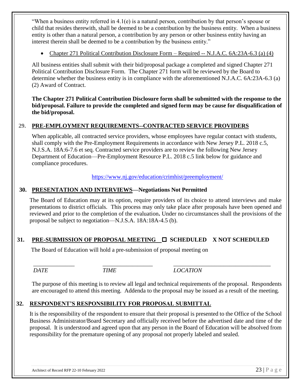"When a business entity referred in 4.1(e) is a natural person, contribution by that person's spouse or child that resides therewith, shall be deemed to be a contribution by the business entity. When a business entity is other than a natural person, a contribution by any person or other business entity having an interest therein shall be deemed to be a contribution by the business entity."

• Chapter 271 Political Contribution Disclosure Form – Required -- N.J.A.C. 6A:23A-6.3 (a) (4)

All business entities shall submit with their bid/proposal package a completed and signed Chapter 271 Political Contribution Disclosure Form. The Chapter 271 form will be reviewed by the Board to determine whether the business entity is in compliance with the aforementioned N.J.A.C. 6A:23A-6.3 (a) (2) Award of Contract.

**The Chapter 271 Political Contribution Disclosure form shall be submitted with the response to the bid/proposal. Failure to provide the completed and signed form may be cause for disqualification of the bid/proposal.**

## **29. PRE-EMPLOYMENT REQUIREMENTS--CONTRACTED SERVICE PROVIDERS**

When applicable, all contracted service providers, whose employees have regular contact with students, shall comply with the Pre-Employment Requirements in accordance with New Jersey P.L. 2018 c.5, N.J.S.A. 18A:6-7.6 et seq. Contracted service providers are to review the following New Jersey Department of Education—Pre-Employment Resource P.L. 2018 c.5 link below for guidance and compliance procedures.

<https://www.nj.gov/education/crimhist/preemployment/>

## **30. PRESENTATION AND INTERVIEWS—Negotiations Not Permitted**

The Board of Education may at its option, require providers of its choice to attend interviews and make presentations to district officials. This process may only take place after proposals have been opened and reviewed and prior to the completion of the evaluation**.** Under no circumstances shall the provisions of the proposal be subject to negotiation—N.J.S.A. 18A:18A-4.5 (b).

## 31. **PRE-SUBMISSION OF PROPOSAL MEETING □ SCHEDULED X NOT SCHEDULED**

The Board of Education will hold a pre-submission of proposal meeting on

*DATE TIME LOCATION*

The purpose of this meeting is to review all legal and technical requirements of the proposal. Respondents are encouraged to attend this meeting. Addenda to the proposal may be issued as a result of the meeting.

*\_\_\_\_\_\_\_\_\_\_\_\_\_\_ \_\_\_\_\_\_\_\_\_\_\_\_\_\_\_\_\_ \_\_\_\_\_\_\_\_\_\_\_\_\_\_\_\_\_\_\_\_\_\_\_\_\_\_\_\_\_\_\_\_\_*

## **32. RESPONDENT'S RESPONSIBILITY FOR PROPOSAL SUBMITTAL**

It is the responsibility of the respondent to ensure that their proposal is presented to the Office of the School Business Administrator/Board Secretary and officially received before the advertised date and time of the proposal. It is understood and agreed upon that any person in the Board of Education will be absolved from responsibility for the premature opening of any proposal not properly labeled and sealed.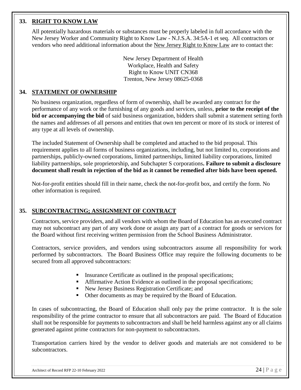## **33. RIGHT TO KNOW LAW**

All potentially hazardous materials or substances must be properly labeled in full accordance with the New Jersey Worker and Community Right to Know Law - N.J.S.A. 34:5A-1 et seq. All contractors or vendors who need additional information about the New Jersey Right to Know Law are to contact the:

> New Jersey Department of Health Workplace, Health and Safety Right to Know UNIT CN368 Trenton, New Jersey 08625-0368

## **34. STATEMENT OF OWNERSHIP**

No business organization, regardless of form of ownership, shall be awarded any contract for the performance of any work or the furnishing of any goods and services, unless, **prior to the receipt of the bid or accompanying the bid** of said business organization, bidders shall submit a statement setting forth the names and addresses of all persons and entities that own ten percent or more of its stock or interest of any type at all levels of ownership.

The included Statement of Ownership shall be completed and attached to the bid proposal. This requirement applies to all forms of business organizations, including, but not limited to, corporations and partnerships, publicly-owned corporations, limited partnerships, limited liability corporations, limited liability partnerships, sole proprietorship, and Subchapter S corporations**. Failure to submit a disclosure document shall result in rejection of the bid as it cannot be remedied after bids have been opened.** 

Not-for-profit entities should fill in their name, check the not-for-profit box, and certify the form. No other information is required.

## **35. SUBCONTRACTING; ASSIGNMENT OF CONTRACT**

Contractors, service providers, and all vendors with whom the Board of Education has an executed contract may not subcontract any part of any work done or assign any part of a contract for goods or services for the Board without first receiving written permission from the School Business Administrator.

Contractors, service providers, and vendors using subcontractors assume all responsibility for work performed by subcontractors. The Board Business Office may require the following documents to be secured from all approved subcontractors:

- **Exercise** Insurance Certificate as outlined in the proposal specifications;
- **EXECUTE:** Affirmative Action Evidence as outlined in the proposal specifications;
- New Jersey Business Registration Certificate; and
- Other documents as may be required by the Board of Education.

In cases of subcontracting, the Board of Education shall only pay the prime contractor. It is the sole responsibility of the prime contractor to ensure that all subcontractors are paid. The Board of Education shall not be responsible for payments to subcontractors and shall be held harmless against any or all claims generated against prime contractors for non-payment to subcontractors.

Transportation carriers hired by the vendor to deliver goods and materials are not considered to be subcontractors.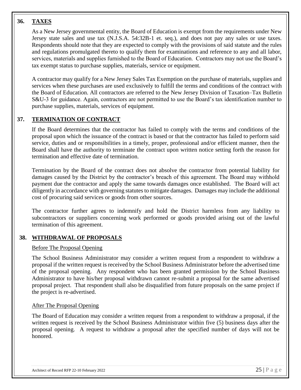## **36. TAXES**

As a New Jersey governmental entity, the Board of Education is exempt from the requirements under New Jersey state sales and use tax (N.J.S.A. 54:32B-1 et. seq.), and does not pay any sales or use taxes. Respondents should note that they are expected to comply with the provisions of said statute and the rules and regulations promulgated thereto to qualify them for examinations and reference to any and all labor, services, materials and supplies furnished to the Board of Education. Contractors may not use the Board's tax exempt status to purchase supplies, materials, service or equipment.

A contractor may qualify for a New Jersey Sales Tax Exemption on the purchase of materials, supplies and services when these purchases are used exclusively to fulfill the terms and conditions of the contract with the Board of Education. All contractors are referred to the New Jersey Division of Taxation–Tax Bulletin S&U-3 for guidance. Again, contractors are not permitted to use the Board's tax identification number to purchase supplies, materials, services of equipment.

## **37. TERMINATION OF CONTRACT**

If the Board determines that the contractor has failed to comply with the terms and conditions of the proposal upon which the issuance of the contract is based or that the contractor has failed to perform said service, duties and or responsibilities in a timely, proper, professional and/or efficient manner, then the Board shall have the authority to terminate the contract upon written notice setting forth the reason for termination and effective date of termination.

Termination by the Board of the contract does not absolve the contractor from potential liability for damages caused by the District by the contractor's breach of this agreement. The Board may withhold payment due the contractor and apply the same towards damages once established. The Board will act diligently in accordance with governing statutes to mitigate damages. Damages may include the additional cost of procuring said services or goods from other sources.

The contractor further agrees to indemnify and hold the District harmless from any liability to subcontractors or suppliers concerning work performed or goods provided arising out of the lawful termination of this agreement.

## **38. WITHDRAWAL OF PROPOSALS**

## Before The Proposal Opening

The School Business Administrator may consider a written request from a respondent to withdraw a proposal if the written request is received by the School Business Administrator before the advertised time of the proposal opening. Any respondent who has been granted permission by the School Business Administrator to have his/her proposal withdrawn cannot re-submit a proposal for the same advertised proposal project. That respondent shall also be disqualified from future proposals on the same project if the project is re-advertised.

## After The Proposal Opening

The Board of Education may consider a written request from a respondent to withdraw a proposal, if the written request is received by the School Business Administrator within five (5) business days after the proposal opening. A request to withdraw a proposal after the specified number of days will not be honored.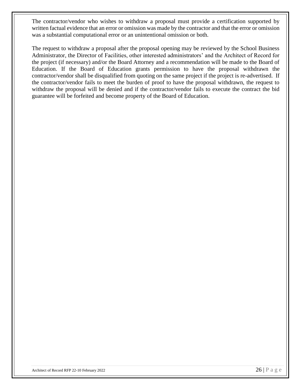The contractor/vendor who wishes to withdraw a proposal must provide a certification supported by written factual evidence that an error or omission was made by the contractor and that the error or omission was a substantial computational error or an unintentional omission or both.

The request to withdraw a proposal after the proposal opening may be reviewed by the School Business Administrator, the Director of Facilities, other interested administrators' and the Architect of Record for the project (if necessary) and/or the Board Attorney and a recommendation will be made to the Board of Education. If the Board of Education grants permission to have the proposal withdrawn the contractor/vendor shall be disqualified from quoting on the same project if the project is re-advertised. If the contractor/vendor fails to meet the burden of proof to have the proposal withdrawn, the request to withdraw the proposal will be denied and if the contractor/vendor fails to execute the contract the bid guarantee will be forfeited and become property of the Board of Education.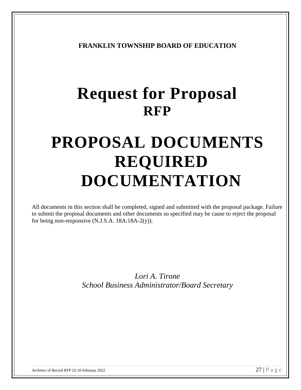**FRANKLIN TOWNSHIP BOARD OF EDUCATION**

# **Request for Proposal RFP**

# **PROPOSAL DOCUMENTS REQUIRED DOCUMENTATION**

All documents in this section shall be completed, signed and submitted with the proposal package. Failure to submit the proposal documents and other documents so specified may be cause to reject the proposal for being non-responsive (N.J.S.A. 18A:18A-2(y)).

> *Lori A. Tirone School Business Administrator/Board Secretary*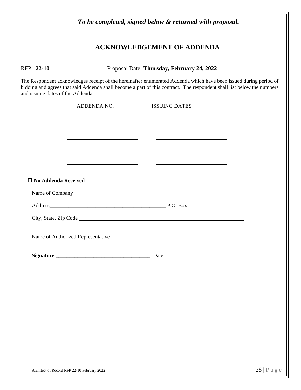| To be completed, signed below & returned with proposal.                                                                                                                                                                                                                                                                                     |                                                                                                                     |                                                                                                                                                                                                                                                |                                    |
|---------------------------------------------------------------------------------------------------------------------------------------------------------------------------------------------------------------------------------------------------------------------------------------------------------------------------------------------|---------------------------------------------------------------------------------------------------------------------|------------------------------------------------------------------------------------------------------------------------------------------------------------------------------------------------------------------------------------------------|------------------------------------|
| <b>ACKNOWLEDGEMENT OF ADDENDA</b>                                                                                                                                                                                                                                                                                                           |                                                                                                                     |                                                                                                                                                                                                                                                |                                    |
| Proposal Date: Thursday, February 24, 2022<br>RFP 22-10<br>The Respondent acknowledges receipt of the hereinafter enumerated Addenda which have been issued during period of<br>bidding and agrees that said Addenda shall become a part of this contract. The respondent shall list below the numbers<br>and issuing dates of the Addenda. |                                                                                                                     |                                                                                                                                                                                                                                                |                                    |
|                                                                                                                                                                                                                                                                                                                                             |                                                                                                                     |                                                                                                                                                                                                                                                |                                    |
|                                                                                                                                                                                                                                                                                                                                             | <u> 1989 - Johann Stein, Amerikaansk politiker († 1908)</u>                                                         | <u>state and the state of the state of the state of the state of the state of the state of the state of the state of the state of the state of the state of the state of the state of the state of the state of the state of the</u>           |                                    |
|                                                                                                                                                                                                                                                                                                                                             | <u> 1989 - John Stein, Amerikaansk politiker (</u>                                                                  | <u> 1989 - Johann Barbara, martin amerikan basal dan berasal dalam basal dalam basal dalam basal dalam basal dala</u><br><u> 1999 - Johann Harry Harry Harry Harry Harry Harry Harry Harry Harry Harry Harry Harry Harry Harry Harry Harry</u> |                                    |
|                                                                                                                                                                                                                                                                                                                                             | <u> 1980 - Johann Barn, mars eta bainar eta baina eta baina eta baina eta baina eta baina eta baina eta baina e</u> | <u> 1989 - Johann Barnett, fransk politiker (</u>                                                                                                                                                                                              |                                    |
| $\square$ No Addenda Received                                                                                                                                                                                                                                                                                                               |                                                                                                                     |                                                                                                                                                                                                                                                |                                    |
|                                                                                                                                                                                                                                                                                                                                             |                                                                                                                     |                                                                                                                                                                                                                                                |                                    |
|                                                                                                                                                                                                                                                                                                                                             |                                                                                                                     |                                                                                                                                                                                                                                                |                                    |
|                                                                                                                                                                                                                                                                                                                                             |                                                                                                                     |                                                                                                                                                                                                                                                |                                    |
|                                                                                                                                                                                                                                                                                                                                             |                                                                                                                     | Name of Authorized Representative Name of Authorized Representative                                                                                                                                                                            |                                    |
|                                                                                                                                                                                                                                                                                                                                             |                                                                                                                     |                                                                                                                                                                                                                                                |                                    |
|                                                                                                                                                                                                                                                                                                                                             |                                                                                                                     |                                                                                                                                                                                                                                                |                                    |
|                                                                                                                                                                                                                                                                                                                                             |                                                                                                                     |                                                                                                                                                                                                                                                |                                    |
|                                                                                                                                                                                                                                                                                                                                             |                                                                                                                     |                                                                                                                                                                                                                                                |                                    |
|                                                                                                                                                                                                                                                                                                                                             |                                                                                                                     |                                                                                                                                                                                                                                                |                                    |
|                                                                                                                                                                                                                                                                                                                                             |                                                                                                                     |                                                                                                                                                                                                                                                |                                    |
|                                                                                                                                                                                                                                                                                                                                             |                                                                                                                     |                                                                                                                                                                                                                                                |                                    |
|                                                                                                                                                                                                                                                                                                                                             |                                                                                                                     |                                                                                                                                                                                                                                                |                                    |
| Architect of Record RFP 22-10 February 2022                                                                                                                                                                                                                                                                                                 |                                                                                                                     |                                                                                                                                                                                                                                                | $28 \mid P \text{ a } g \text{ e}$ |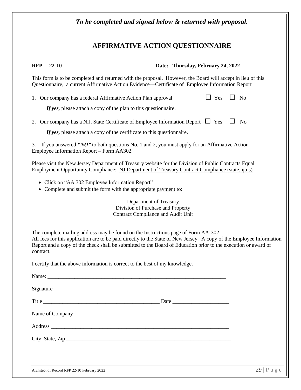## **AFFIRMATIVE ACTION QUESTIONNAIRE**

**RFP 22-10 Date: Thursday, February 24, 2022**

This form is to be completed and returned with the proposal. However, the Board will accept in lieu of this Questionnaire, a current Affirmative Action Evidence—Certificate of Employee Information Report

1. Our company has a federal Affirmative Action Plan approval.  $\Box$  Yes  $\Box$  No

If yes, please attach a copy of the plan to this questionnaire.

2. Our company has a N.J. State Certificate of Employee Information Report  $\Box$  Yes  $\Box$  No

*If yes*, please attach a copy of the certificate to this questionnaire.

3. If you answered *"NO"* to both questions No. 1 and 2, you must apply for an Affirmative Action Employee Information Report – Form AA302.

Please visit the New Jersey Department of Treasury website for the Division of Public Contracts Equal Employment Opportunity Compliance: [NJ](http://www.state.nj.us/treasury/contract%20compliance/) Department of Treasury Contract Compliance (state.nj.us)

- Click on "AA 302 Employee Information Report"
- Complete and submit the form with the appropriate payment to:

Department of Treasury Division of Purchase and Property Contract Compliance and Audit Unit

The complete mailing address may be found on the Instructions page of Form AA-302 All fees for this application are to be paid directly to the State of New Jersey. A copy of the Employee Information Report and a copy of the check shall be submitted to the Board of Education prior to the execution or award of contract.

I certify that the above information is correct to the best of my knowledge.

| Address          |  |
|------------------|--|
| City, State, Zip |  |
|                  |  |
|                  |  |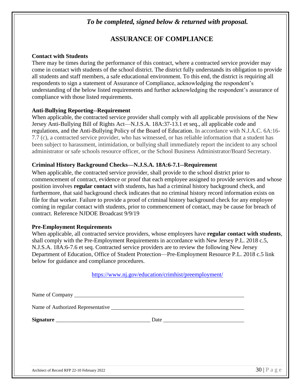## *To be completed, signed below & returned with proposal.*

## **ASSURANCE OF COMPLIANCE**

## **Contact with Students**

There may be times during the performance of this contract, where a contracted service provider may come in contact with students of the school district. The district fully understands its obligation to provide all students and staff members, a safe educational environment. To this end, the district is requiring all respondents to sign a statement of Assurance of Compliance, acknowledging the respondent's understanding of the below listed requirements and further acknowledging the respondent's assurance of compliance with those listed requirements.

## **Anti-Bullying Reporting--Requirement**

When applicable, the contracted service provider shall comply with all applicable provisions of the New Jersey Anti-Bullying Bill of Rights Act—N.J.S.A. 18A:37-13.1 et seq., all applicable code and regulations, and the Anti-Bullying Policy of the Board of Education. In accordance with N.J.A.C. 6A:16- 7.7 (c), a contracted service provider, who has witnessed, or has reliable information that a student has been subject to harassment, intimidation, or bullying shall immediately report the incident to any school administrator or safe schools resource officer, or the School Business Administrator/Board Secretary.

## **Criminal History Background Checks—N.J.S.A. 18A:6-7.1--Requirement**

When applicable, the contracted service provider, shall provide to the school district prior to commencement of contract, evidence or proof that each employee assigned to provide services and whose position involves **regular contact** with students, has had a criminal history background check, and furthermore, that said background check indicates that no criminal history record information exists on file for that worker. Failure to provide a proof of criminal history background check for any employee coming in regular contact with students, prior to commencement of contact, may be cause for breach of contract. Reference NJDOE Broadcast 9/9/19

## **Pre-Employment Requirements**

When applicable, all contracted service providers, whose employees have **regular contact with students**, shall comply with the Pre-Employment Requirements in accordance with New Jersey P.L. 2018 c.5, N.J.S.A. 18A:6-7.6 et seq. Contracted service providers are to review the following New Jersey Department of Education, Office of Student Protection—Pre-Employment Resource P.L. 2018 c.5 link below for guidance and compliance procedures.

## <https://www.nj.gov/education/crimhist/preemployment/>

| Name of Authorized Representative Name of Authorized Representative |                                 |
|---------------------------------------------------------------------|---------------------------------|
|                                                                     |                                 |
|                                                                     |                                 |
|                                                                     |                                 |
|                                                                     |                                 |
| Architect of Record RFP 22-10 February 2022                         | $30   P \text{ a } g \text{ e}$ |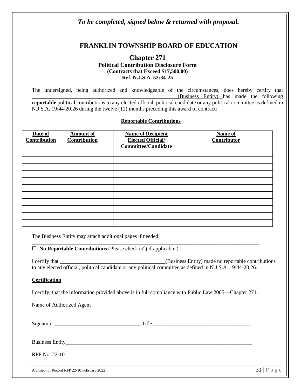## *To be completed, signed below & returned with proposal.*

## **FRANKLIN TOWNSHIP BOARD OF EDUCATION**

## **Chapter 271 Political Contribution Disclosure Form (Contracts that Exceed \$17,500.00) Ref. N.J.S.A. 52:34-25**

The undersigned, being authorized and knowledgeable of the circumstances, does hereby certify that \_\_\_\_\_\_\_\_\_\_\_\_\_\_\_\_\_\_\_\_\_\_\_\_\_\_\_\_\_\_\_\_\_\_\_\_\_\_\_\_\_\_\_\_\_\_\_\_\_\_\_\_\_\_(Business Entity) has made the following **reportable** political contributions to any elected official, political candidate or any political committee as defined in N.J.S.A. 19:44-20.26 during the twelve (12) months preceding this award of contract:

#### **Reportable Contributions**

| Date of<br><b>Contribution</b> | <b>Amount of</b><br>Contribution | <b>Name of Recipient</b><br><b>Elected Official/</b><br><b>Committee/Candidate</b> | Name of<br>Contributor |
|--------------------------------|----------------------------------|------------------------------------------------------------------------------------|------------------------|
|                                |                                  |                                                                                    |                        |
|                                |                                  |                                                                                    |                        |
|                                |                                  |                                                                                    |                        |
|                                |                                  |                                                                                    |                        |
|                                |                                  |                                                                                    |                        |
|                                |                                  |                                                                                    |                        |
|                                |                                  |                                                                                    |                        |
|                                |                                  |                                                                                    |                        |
|                                |                                  |                                                                                    |                        |
|                                |                                  |                                                                                    |                        |

The Business Entity may attach additional pages if needed.

**No Reportable Contributions** (Please check (✓) if applicable.)

I certify that **I** certify that **I** certify that **I** certify made no reportable contributions to any elected official, political candidate or any political committee as defined in N.J.S.A. 19:44-20.26.

#### **Certification**

I certify, that the information provided above is in full compliance with Public Law 2005—Chapter 271.

\_\_\_\_\_\_\_\_\_\_\_\_\_\_\_\_\_\_\_\_\_\_\_\_\_\_\_\_\_\_\_\_\_\_\_\_\_\_\_\_\_\_\_\_\_\_\_\_\_\_\_\_\_\_\_\_\_\_\_\_\_\_\_\_\_\_\_\_\_\_\_\_\_\_\_\_\_\_\_\_\_\_\_\_

Name of Authorized Agent \_\_\_\_\_\_\_\_\_\_\_\_\_\_\_\_\_\_\_\_\_\_\_\_\_\_\_\_\_\_\_\_\_\_\_\_\_\_\_\_\_\_\_\_\_\_\_\_\_\_\_\_\_\_\_\_\_\_\_\_

| Signature     | Title<br><u> 1980 - Jan Samuel Barbara, martin da shekara 1980 - Andrew Samuel Barbara, mashrida a shekara 1980 - Andrew S</u> |  |
|---------------|--------------------------------------------------------------------------------------------------------------------------------|--|
|               |                                                                                                                                |  |
| RFP No. 22-10 |                                                                                                                                |  |
|               |                                                                                                                                |  |

Architect of Record RFP 22-10 February 2022  $31 \mid P$  a g e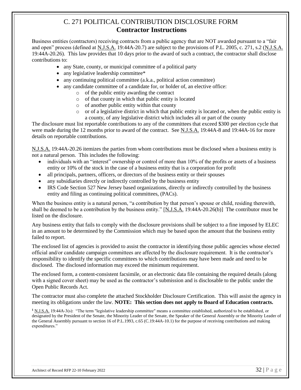## C. 271 POLITICAL CONTRIBUTION DISCLOSURE FORM **Contractor Instructions**

Business entities (contractors) receiving contracts from a public agency that are NOT awarded pursuant to a "fair and open" process (defined at N.J.S.A. 19:44A-20.7) are subject to the provisions of P.L. 2005, c. 271, s.2 (N.J.S.A. 19:44A-20.26). This law provides that 10 days prior to the award of such a contract, the contractor shall disclose contributions to:

- any State, county, or municipal committee of a political party
- any legislative leadership committee\*
- any continuing political committee (a.k.a., political action committee)
- any candidate committee of a candidate for, or holder of, an elective office:
	- o of the public entity awarding the contract
	- o of that county in which that public entity is located
	- o of another public entity within that county
	- o or of a legislative district in which that public entity is located or, when the public entity is a county, of any legislative district which includes all or part of the county

The disclosure must list reportable contributions to any of the committees that exceed \$300 per election cycle that were made during the 12 months prior to award of the contract. See N.J.S.A. 19:44A-8 and 19:44A-16 for more details on reportable contributions.

N.J.S.A. 19:44A-20.26 itemizes the parties from whom contributions must be disclosed when a business entity is not a natural person. This includes the following:

- individuals with an "interest" ownership or control of more than 10% of the profits or assets of a business entity or 10% of the stock in the case of a business entity that is a corporation for profit
- all principals, partners, officers, or directors of the business entity or their spouses
- any subsidiaries directly or indirectly controlled by the business entity
- IRS Code Section 527 New Jersey based organizations, directly or indirectly controlled by the business entity and filing as continuing political committees, (PACs).

When the business entity is a natural person, "a contribution by that person's spouse or child, residing therewith, shall be deemed to be a contribution by the business entity." [N.J.S.A. 19:44A-20.26(b)] The contributor must be listed on the disclosure.

Any business entity that fails to comply with the disclosure provisions shall be subject to a fine imposed by ELEC in an amount to be determined by the Commission which may be based upon the amount that the business entity failed to report.

The enclosed list of agencies is provided to assist the contractor in identifying those public agencies whose elected official and/or candidate campaign committees are affected by the disclosure requirement. It is the contractor's responsibility to identify the specific committees to which contributions may have been made and need to be disclosed. The disclosed information may exceed the minimum requirement.

The enclosed form, a content-consistent facsimile, or an electronic data file containing the required details (along with a signed cover sheet) may be used as the contractor's submission and is disclosable to the public under the Open Public Records Act.

The contractor must also complete the attached Stockholder Disclosure Certification. This will assist the agency in meeting its obligations under the law. **NOTE: This section does not apply to Board of Education contracts.**

**<sup>1</sup>** N.J.S.A. 19:44A-3(s): "The term "legislative leadership committee" means a committee established, authorized to be established, or designated by the President of the Senate, the Minority Leader of the Senate, the Speaker of the General Assembly or the Minority Leader of the General Assembly pursuant to section 16 of P.L.1993, c.65 (C.19:44A-10.1) for the purpose of receiving contributions and making expenditures."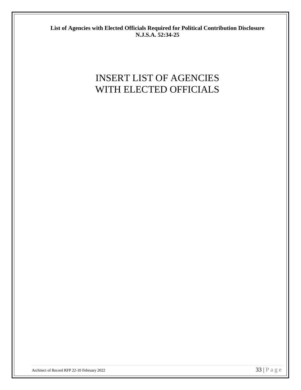**List of Agencies with Elected Officials Required for Political Contribution Disclosure N.J.S.A. 52:34-25**

# INSERT LIST OF AGENCIES WITH ELECTED OFFICIALS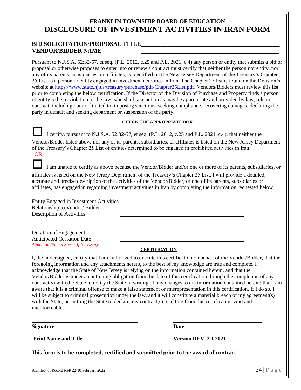## **FRANKLIN TOWNSHIP BOARD OF EDUCATION DISCLOSURE OF INVESTMENT ACTIVITIES IN IRAN FORM**

## **BID SOLICITATION/PROPOSAL TITLE\_\_\_\_\_\_\_\_\_\_\_\_\_\_\_\_\_\_\_\_\_\_\_\_\_\_\_\_\_\_\_\_\_\_\_\_\_\_\_\_\_\_\_\_\_\_\_ VENDOR/BIDDER NAME** \_\_\_\_\_\_

Pursuant to N.J.S.A. 52:32-57, et seq. (P.L. 2012, c.25 and P.L. 2021, c.4) any person or entity that submits a bid or proposal or otherwise proposes to enter into or renew a contract must certify that neither the person nor entity, nor any of its parents, subsidiaries, or affiliates, is identified on the New Jersey Department of the Treasury's Chapter 25 List as a person or entity engaged in investment activities in Iran. The Chapter 25 list is found on the Division's website at [https://www.state.nj.us/treasury/purchase/pdf/Chapter25List.pdf.](https://www.state.nj.us/treasury/purchase/pdf/Chapter25List.pdf) Vendors/Bidders must review this list prior to completing the below certification. If the Director of the Division of Purchase and Property finds a person or entity to be in violation of the law, s/he shall take action as may be appropriate and provided by law, rule or contract, including but not limited to, imposing sanctions, seeking compliance, recovering damages, declaring the party in default and seeking debarment or suspension of the party.

#### **CHECK THE APPROPRIATE BOX**

 I certify, pursuant to N.J.S.A. 52:32-57, et seq. (P.L. 2012, c.25 and P.L. 2021, c.4), that neither the Vendor/Bidder listed above nor any of its parents, subsidiaries, or affiliates is listed on the New Jersey Department of the Treasury's Chapter 25 List of entities determined to be engaged in prohibited activities in Iran. OR

 I am unable to certify as above because the Vendor/Bidder and/or one or more of its parents, subsidiaries, or affiliates is listed on the New Jersey Department of the Treasury's Chapter 25 List. I will provide a detailed, accurate and precise description of the activities of the Vendor/Bidder, or one of its parents, subsidiaries or affiliates, has engaged in regarding investment activities in Iran by completing the information requested below.

| Entity Engaged in Investment Activities      |  |
|----------------------------------------------|--|
| Relationship to Vendor/Bidder                |  |
| Description of Activities                    |  |
|                                              |  |
|                                              |  |
| Duration of Engagement                       |  |
| <b>Anticipated Cessation Date</b>            |  |
| <b>Attach Additional Sheets If Necessary</b> |  |

#### **CERTIFICATION**

I, the undersigned, certify that I am authorized to execute this certification on behalf of the Vendor/Bidder, that the foregoing information and any attachments hereto, to the best of my knowledge are true and complete. I acknowledge that the State of New Jersey is relying on the information contained herein, and that the Vendor/Bidder is under a continuing obligation from the date of this certification through the completion of any contract(s) with the State to notify the State in writing of any changes to the information contained herein; that I am aware that it is a criminal offense to make a false statement or misrepresentation in this certification. If I do so, I will be subject to criminal prosecution under the law, and it will constitute a material breach of my agreement(s) with the State, permitting the State to declare any contract(s) resulting from this certification void and unenforceable.

**Signature Date**

**Print Name and Title Version REV. 2.1 2021**

**This form is to be completed, certified and submitted prior to the award of contract.**

 $\overline{a}$ 

Architect of Record RFP 22-10 February 2022  $34 \mid P$  a g e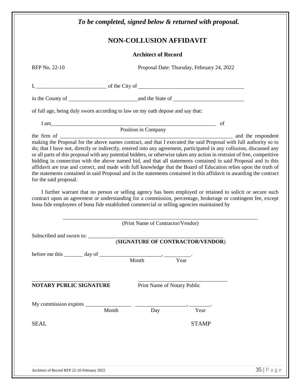|                                                                                                                                                                                                                                                                                                                                                                                                                                      | <b>NON-COLLUSION AFFIDAVIT</b>    |                                            |  |
|--------------------------------------------------------------------------------------------------------------------------------------------------------------------------------------------------------------------------------------------------------------------------------------------------------------------------------------------------------------------------------------------------------------------------------------|-----------------------------------|--------------------------------------------|--|
|                                                                                                                                                                                                                                                                                                                                                                                                                                      | <b>Architect of Record</b>        |                                            |  |
| RFP No. 22-10                                                                                                                                                                                                                                                                                                                                                                                                                        |                                   | Proposal Date: Thursday, February 24, 2022 |  |
|                                                                                                                                                                                                                                                                                                                                                                                                                                      |                                   |                                            |  |
|                                                                                                                                                                                                                                                                                                                                                                                                                                      |                                   |                                            |  |
| of full age, being duly sworn according to law on my oath depose and say that:                                                                                                                                                                                                                                                                                                                                                       |                                   |                                            |  |
| I am Position in Company of                                                                                                                                                                                                                                                                                                                                                                                                          |                                   |                                            |  |
|                                                                                                                                                                                                                                                                                                                                                                                                                                      |                                   |                                            |  |
| the statements contained in said Proposal and in the statements contained in this affidavit in awarding the contract<br>for the said proposal.                                                                                                                                                                                                                                                                                       |                                   |                                            |  |
| I further warrant that no person or selling agency has been employed or retained to solicit or secure such                                                                                                                                                                                                                                                                                                                           |                                   |                                            |  |
|                                                                                                                                                                                                                                                                                                                                                                                                                                      | (Print Name of Contractor/Vendor) |                                            |  |
|                                                                                                                                                                                                                                                                                                                                                                                                                                      |                                   |                                            |  |
|                                                                                                                                                                                                                                                                                                                                                                                                                                      |                                   | (SIGNATURE OF CONTRACTOR/VENDOR)           |  |
|                                                                                                                                                                                                                                                                                                                                                                                                                                      |                                   |                                            |  |
|                                                                                                                                                                                                                                                                                                                                                                                                                                      | Print Name of Notary Public       |                                            |  |
|                                                                                                                                                                                                                                                                                                                                                                                                                                      |                                   |                                            |  |
|                                                                                                                                                                                                                                                                                                                                                                                                                                      |                                   | Year                                       |  |
|                                                                                                                                                                                                                                                                                                                                                                                                                                      |                                   | <b>STAMP</b>                               |  |
| contract upon an agreement or understanding for a commission, percentage, brokerage or contingent fee, except<br>bona fide employees of bona fide established commercial or selling agencies maintained by<br>Subscribed and sworn to: __________<br>before me this $\_\_\_\_$ day of $\_\_\_\_\_$ Month $\_\_\_\_\_\_\_$ .<br><b>NOTARY PUBLIC SIGNATURE</b><br>My commission expires $\frac{1}{\sqrt{a}}$ Month Day<br><b>SEAL</b> |                                   |                                            |  |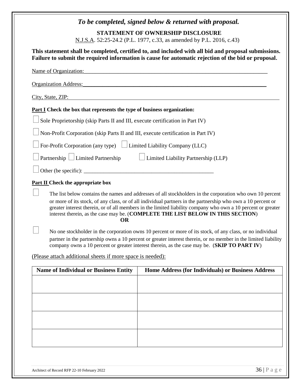|                                                                                  | To be completed, signed below & returned with proposal.                                                                                                                                                                                                                                                                                                                                                                      |
|----------------------------------------------------------------------------------|------------------------------------------------------------------------------------------------------------------------------------------------------------------------------------------------------------------------------------------------------------------------------------------------------------------------------------------------------------------------------------------------------------------------------|
|                                                                                  | <b>STATEMENT OF OWNERSHIP DISCLOSURE</b>                                                                                                                                                                                                                                                                                                                                                                                     |
|                                                                                  | N.J.S.A. 52:25-24.2 (P.L. 1977, c.33, as amended by P.L. 2016, c.43)                                                                                                                                                                                                                                                                                                                                                         |
|                                                                                  | This statement shall be completed, certified to, and included with all bid and proposal submissions.<br>Failure to submit the required information is cause for automatic rejection of the bid or proposal.                                                                                                                                                                                                                  |
| Name of Organization:                                                            |                                                                                                                                                                                                                                                                                                                                                                                                                              |
| <b>Organization Address:</b>                                                     |                                                                                                                                                                                                                                                                                                                                                                                                                              |
| City, State, ZIP:                                                                |                                                                                                                                                                                                                                                                                                                                                                                                                              |
| <b>Part I</b> Check the box that represents the type of business organization:   |                                                                                                                                                                                                                                                                                                                                                                                                                              |
| Sole Proprietorship (skip Parts II and III, execute certification in Part IV)    |                                                                                                                                                                                                                                                                                                                                                                                                                              |
| Non-Profit Corporation (skip Parts II and III, execute certification in Part IV) |                                                                                                                                                                                                                                                                                                                                                                                                                              |
| For-Profit Corporation (any type) $\Box$ Limited Liability Company (LLC)         |                                                                                                                                                                                                                                                                                                                                                                                                                              |
| Partnership $\Box$ Limited Partnership                                           | $\Box$ Limited Liability Partnership (LLP)                                                                                                                                                                                                                                                                                                                                                                                   |
|                                                                                  |                                                                                                                                                                                                                                                                                                                                                                                                                              |
| <b>Part II</b> Check the appropriate box                                         |                                                                                                                                                                                                                                                                                                                                                                                                                              |
| <b>OR</b>                                                                        | The list below contains the names and addresses of all stockholders in the corporation who own 10 percent<br>or more of its stock, of any class, or of all individual partners in the partnership who own a 10 percent or<br>greater interest therein, or of all members in the limited liability company who own a 10 percent or greater<br>interest therein, as the case may be. (COMPLETE THE LIST BELOW IN THIS SECTION) |
|                                                                                  | No one stockholder in the corporation owns 10 percent or more of its stock, of any class, or no individual<br>partner in the partnership owns a 10 percent or greater interest therein, or no member in the limited liability<br>company owns a 10 percent or greater interest therein, as the case may be. (SKIP TO PART IV)                                                                                                |
| (Please attach additional sheets if more space is needed):                       |                                                                                                                                                                                                                                                                                                                                                                                                                              |
| <b>Name of Individual or Business Entity</b>                                     | Home Address (for Individuals) or Business Address                                                                                                                                                                                                                                                                                                                                                                           |
|                                                                                  |                                                                                                                                                                                                                                                                                                                                                                                                                              |
|                                                                                  |                                                                                                                                                                                                                                                                                                                                                                                                                              |
|                                                                                  |                                                                                                                                                                                                                                                                                                                                                                                                                              |
|                                                                                  |                                                                                                                                                                                                                                                                                                                                                                                                                              |
|                                                                                  |                                                                                                                                                                                                                                                                                                                                                                                                                              |
|                                                                                  |                                                                                                                                                                                                                                                                                                                                                                                                                              |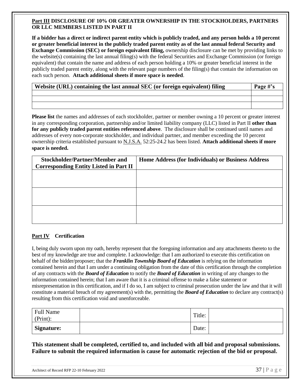#### **Part III DISCLOSURE OF 10% OR GREATER OWNERSHIP IN THE STOCKHOLDERS, PARTNERS OR LLC MEMBERS LISTED IN PART II**

**If a bidder has a direct or indirect parent entity which is publicly traded, and any person holds a 10 percent or greater beneficial interest in the publicly traded parent entity as of the last annual federal Security and Exchange Commission (SEC) or foreign equivalent filing,** ownership disclosure can be met by providing links to the website(s) containing the last annual filing(s) with the federal Securities and Exchange Commission (or foreign equivalent) that contain the name and address of each person holding a 10% or greater beneficial interest in the publicly traded parent entity, along with the relevant page numbers of the filing(s) that contain the information on each such person. **Attach additional sheets if more space is needed**.

| Website (URL) containing the last annual SEC (or foreign equivalent) filing |  |  |  |
|-----------------------------------------------------------------------------|--|--|--|
|                                                                             |  |  |  |
|                                                                             |  |  |  |
|                                                                             |  |  |  |

**Please list** the names and addresses of each stockholder, partner or member owning a 10 percent or greater interest in any corresponding corporation, partnership and/or limited liability company (LLC) listed in Part II **other than for any publicly traded parent entities referenced above**. The disclosure shall be continued until names and addresses of every non-corporate stockholder, and individual partner, and member exceeding the 10 percent ownership criteria established pursuant to N.J.S.A. 52:25-24.2 has been listed. **Attach additional sheets if more space is needed.**

| <b>Stockholder/Partner/Member and</b>         | Home Address (for Individuals) or Business Address |
|-----------------------------------------------|----------------------------------------------------|
| <b>Corresponding Entity Listed in Part II</b> |                                                    |
|                                               |                                                    |
|                                               |                                                    |
|                                               |                                                    |
|                                               |                                                    |
|                                               |                                                    |
|                                               |                                                    |
|                                               |                                                    |
|                                               |                                                    |

## **Part IV Certification**

I, being duly sworn upon my oath, hereby represent that the foregoing information and any attachments thereto to the best of my knowledge are true and complete. I acknowledge: that I am authorized to execute this certification on behalf of the bidder/proposer; that the *Franklin Township Board of Education* is relying on the information contained herein and that I am under a continuing obligation from the date of this certification through the completion of any contracts with the *Board of Education* to notify the *Board of Education* in writing of any changes to the information contained herein; that I am aware that it is a criminal offense to make a false statement or misrepresentation in this certification, and if I do so, I am subject to criminal prosecution under the law and that it will constitute a material breach of my agreement(s) with the, permitting the *Board of Education* to declare any contract(s) resulting from this certification void and unenforceable.

| Full Name<br>(Print): | Title: |  |
|-----------------------|--------|--|
| <b>Signature:</b>     | Date:  |  |

**This statement shall be completed, certified to, and included with all bid and proposal submissions. Failure to submit the required information is cause for automatic rejection of the bid or proposal.**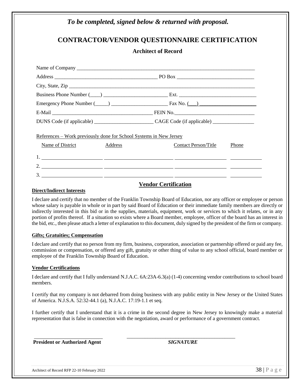## *To be completed, signed below & returned with proposal.* **CONTRACTOR/VENDOR QUESTIONNAIRE CERTIFICATION Architect of Record** Name of Company \_\_\_\_\_\_\_\_\_\_\_\_\_\_\_\_\_\_\_\_\_\_\_\_\_\_\_\_\_\_\_\_\_\_\_\_\_\_\_\_\_\_\_\_\_\_\_\_\_\_\_\_\_\_\_\_\_\_\_\_\_\_\_\_\_\_\_\_\_ Address \_\_\_\_\_\_\_\_\_\_\_\_\_\_\_\_\_\_\_\_\_\_\_\_\_\_\_\_\_\_\_\_\_\_\_\_\_\_\_\_ PO Box \_\_\_\_\_\_\_\_\_\_\_\_\_\_\_\_\_\_\_\_\_\_\_\_\_\_\_\_\_\_ City, State, Zip \_\_\_\_\_\_\_\_\_\_\_\_\_\_\_\_\_\_\_\_\_\_\_\_\_\_\_\_\_\_\_\_\_\_\_\_\_\_\_\_\_\_\_\_\_\_\_\_\_\_\_\_\_\_\_\_\_\_\_\_\_\_\_\_\_\_\_\_\_\_\_\_ Business Phone Number (\_\_\_\_) \_\_\_\_\_\_\_\_\_\_\_\_\_\_\_\_\_\_\_\_\_\_\_\_\_ Ext. \_\_\_\_\_\_\_\_\_\_\_\_\_\_\_\_\_\_\_\_\_\_\_\_\_\_\_\_\_\_ Emergency Phone Number  $(\_\_)$   $\_\_$ E-Mail \_\_\_\_\_\_\_\_\_\_\_\_\_\_\_\_\_\_\_\_\_\_\_\_\_\_\_\_\_\_\_\_\_\_\_\_\_\_\_ FEIN No.\_\_\_\_\_\_\_\_\_\_\_\_\_\_\_\_\_\_\_\_\_\_\_\_\_\_\_\_\_\_\_ DUNS Code (if applicable) \_\_\_\_\_\_\_\_\_\_\_\_\_\_\_\_\_\_\_\_\_\_\_ CAGE Code (if applicable) \_\_\_\_\_\_\_\_\_\_\_\_\_\_\_\_ References – Work previously done for School Systems in New Jersey Name of District Address Address Contact Person/Title Phone 1. 2. 3.

## **Vendor Certification**

#### **Direct/Indirect Interests**

I declare and certify that no member of the Franklin Township Board of Education, nor any officer or employee or person whose salary is payable in whole or in part by said Board of Education or their immediate family members are directly or indirectly interested in this bid or in the supplies, materials, equipment, work or services to which it relates, or in any portion of profits thereof. If a situation so exists where a Board member, employee, officer of the board has an interest in the bid, etc., then please attach a letter of explanation to this document, duly signed by the president of the firm or company.

#### **Gifts; Gratuities; Compensation**

I declare and certify that no person from my firm, business, corporation, association or partnership offered or paid any fee, commission or compensation, or offered any gift, gratuity or other thing of value to any school official, board member or employee of the Franklin Township Board of Education.

#### **Vendor Certifications**

I declare and certify that I fully understand N.J.A.C. 6A:23A-6.3(a) (1-4) concerning vendor contributions to school board members.

I certify that my company is not debarred from doing business with any public entity in New Jersey or the United States of America. N.J.S.A. 52:32-44.1 (a), N.J.A.C. 17:19-1.1 et seq.

I further certify that I understand that it is a crime in the second degree in New Jersey to knowingly make a material representation that is false in connection with the negotiation, award or performance of a government contract.

**President or Authorized Agent** *SIGNATURE*

 $\frac{1}{2}$  , the contribution of the contribution of  $\frac{1}{2}$  ,  $\frac{1}{2}$  ,  $\frac{1}{2}$  ,  $\frac{1}{2}$  ,  $\frac{1}{2}$  ,  $\frac{1}{2}$  ,  $\frac{1}{2}$  ,  $\frac{1}{2}$  ,  $\frac{1}{2}$  ,  $\frac{1}{2}$  ,  $\frac{1}{2}$  ,  $\frac{1}{2}$  ,  $\frac{1}{2}$  ,  $\frac{1}{2}$  ,

Architect of Record RFP 22-10 February 2022  $\overline{38}\mid P$  a g e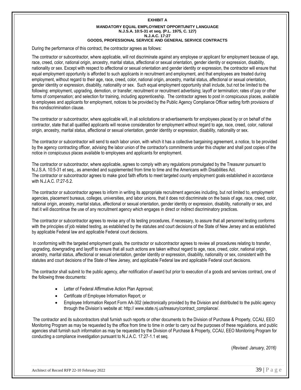#### **EXHIBIT A MANDATORY EQUAL EMPLOYMENT OPPORTUNITY LANGUAGE N.J.S.A. 10:5-31 et seq. (P.L. 1975, C. 127) N.J.A.C. 17:27 GOODS, PROFESSIONAL SERVICE AND GENERAL SERVICE CONTRACTS**

During the performance of this contract, the contractor agrees as follows:

The contractor or subcontractor, where applicable, will not discriminate against any employee or applicant for employment because of age, race, creed, color, national origin, ancestry, marital status, affectional or sexual orientation, gender identity or expression, disability, nationality or sex. Except with respect to affectional or sexual orientation and gender identity or expression, the contractor will ensure that equal employment opportunity is afforded to such applicants in recruitment and employment, and that employees are treated during employment, without regard to their age, race, creed, color, national origin, ancestry, marital status, affectional or sexual orientation, gender identity or expression, disability, nationality or sex. Such equal employment opportunity shall include, but not be limited to the following: employment, upgrading, demotion, or transfer; recruitment or recruitment advertising; layoff or termination; rates of pay or other forms of compensation; and selection for training, including apprenticeship. The contractor agrees to post in conspicuous places, available to employees and applicants for employment, notices to be provided by the Public Agency Compliance Officer setting forth provisions of this nondiscrimination clause.

The contractor or subcontractor, where applicable will, in all solicitations or advertisements for employees placed by or on behalf of the contractor, state that all qualified applicants will receive consideration for employment without regard to age, race, creed, color, national origin, ancestry, marital status, affectional or sexual orientation, gender identity or expression, disability, nationality or sex.

The contractor or subcontractor will send to each labor union, with which it has a collective bargaining agreement, a notice, to be provided by the agency contracting officer, advising the labor union of the contractor's commitments under this chapter and shall post copies of the notice in conspicuous places available to employees and applicants for employment.

The contractor or subcontractor, where applicable, agrees to comply with any regulations promulgated by the Treasurer pursuant to N.J.S.A. 10:5-31 et seq., as amended and supplemented from time to time and the Americans with Disabilities Act. The contractor or subcontractor agrees to make good faith efforts to meet targeted county employment goals established in accordance with N.J.A.C. l7:27-5.2.

The contractor or subcontractor agrees to inform in writing its appropriate recruitment agencies including, but not limited to, employment agencies, placement bureaus, colleges, universities, and labor unions, that it does not discriminate on the basis of age, race, creed, color, national origin, ancestry, marital status, affectional or sexual orientation, gender identity or expression, disability, nationality or sex, and that it will discontinue the use of any recruitment agency which engages in direct or indirect discriminatory practices.

The contractor or subcontractor agrees to revise any of its testing procedures, if necessary, to assure that all personnel testing conforms with the principles of job related testing, as established by the statutes and court decisions of the State of New Jersey and as established by applicable Federal law and applicable Federal court decisions.

In conforming with the targeted employment goals, the contractor or subcontractor agrees to review all procedures relating to transfer, upgrading, downgrading and layoff to ensure that all such actions are taken without regard to age, race, creed, color, national origin, ancestry, marital status, affectional or sexual orientation, gender identity or expression, disability, nationality or sex, consistent with the statutes and court decisions of the State of New Jersey, and applicable Federal law and applicable Federal court decisions.

The contractor shall submit to the public agency, after notification of award but prior to execution of a goods and services contract, one of the following three documents:

- Letter of Federal Affirmative Action Plan Approval;
- Certificate of Employee Information Report; or
- Employee Information Report Form AA-302 (electronically provided by the Division and distributed to the public agency through the Division's website at: http:// www.state.nj.us/treasury/contract\_compliance/.

The contractor and its subcontractors shall furnish such reports or other documents to the Division of Purchase & Property, CCAU, EEO Monitoring Program as may be requested by the office from time to time in order to carry out the purposes of these regulations, and public agencies shall furnish such information as may be requested by the Division of Purchase & Property, CCAU, EEO Monitoring Program for conducting a compliance investigation pursuant to N.J.A.C. 17:27-1.1 et seq.

(*Revised: January, 2016)*